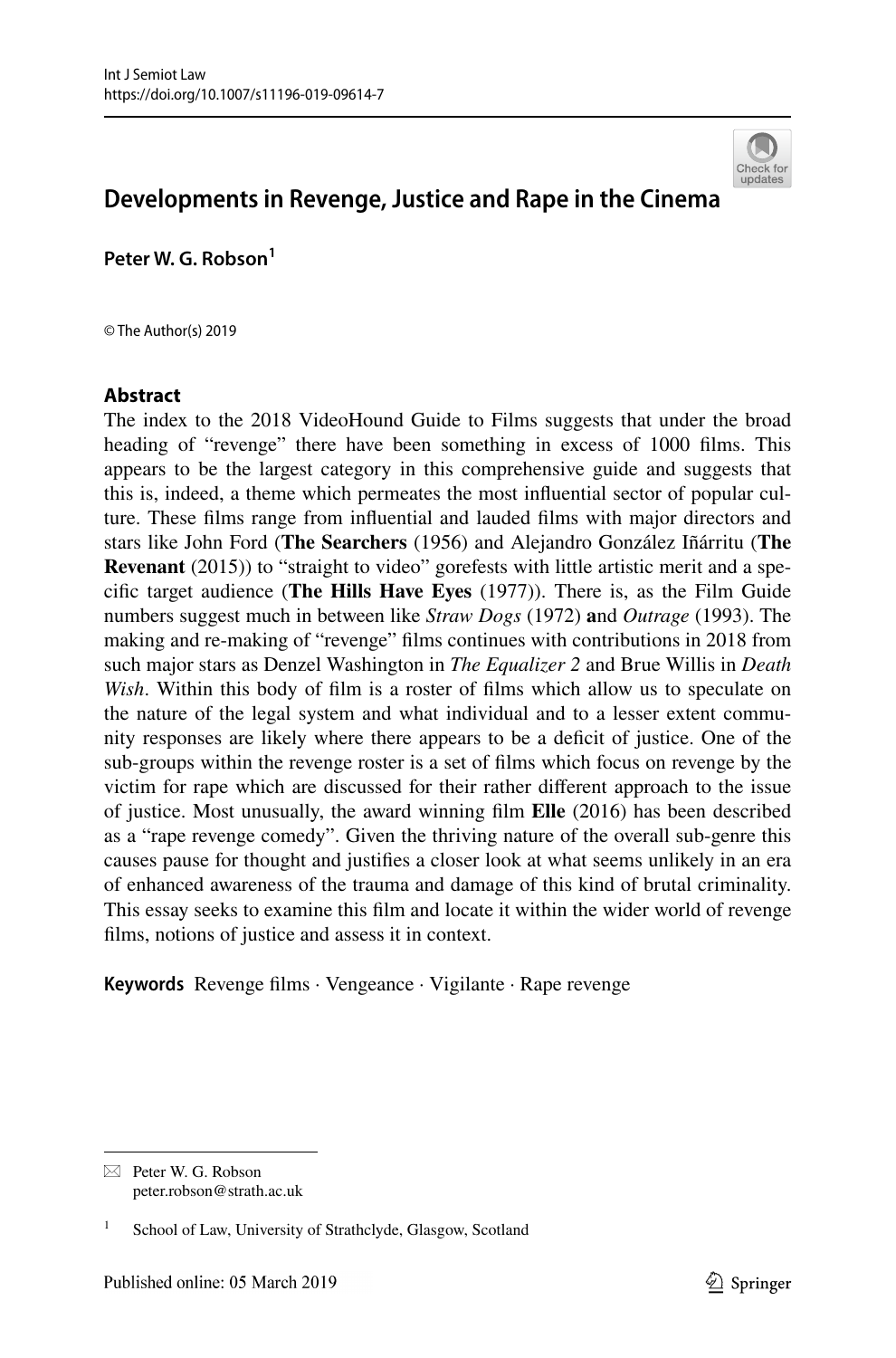

# **Developments in Revenge, Justice and Rape in the Cinema**

**Peter W. G. Robson1**

© The Author(s) 2019

### **Abstract**

The index to the 2018 VideoHound Guide to Films suggests that under the broad heading of "revenge" there have been something in excess of 1000 films. This appears to be the largest category in this comprehensive guide and suggests that this is, indeed, a theme which permeates the most infuential sector of popular culture. These flms range from infuential and lauded flms with major directors and stars like John Ford (**The Searchers** (1956) and Alejandro González Iñárritu (**The Revenant** (2015)) to "straight to video" gorefests with little artistic merit and a specifc target audience (**The Hills Have Eyes** (1977)). There is, as the Film Guide numbers suggest much in between like *Straw Dogs* (1972) **a**nd *Outrage* (1993). The making and re-making of "revenge" flms continues with contributions in 2018 from such major stars as Denzel Washington in *The Equalizer 2* and Brue Willis in *Death Wish*. Within this body of flm is a roster of flms which allow us to speculate on the nature of the legal system and what individual and to a lesser extent community responses are likely where there appears to be a defcit of justice. One of the sub-groups within the revenge roster is a set of flms which focus on revenge by the victim for rape which are discussed for their rather diferent approach to the issue of justice. Most unusually, the award winning flm **Elle** (2016) has been described as a "rape revenge comedy". Given the thriving nature of the overall sub-genre this causes pause for thought and justifes a closer look at what seems unlikely in an era of enhanced awareness of the trauma and damage of this kind of brutal criminality. This essay seeks to examine this flm and locate it within the wider world of revenge flms, notions of justice and assess it in context.

**Keywords** Revenge flms · Vengeance · Vigilante · Rape revenge

 $\boxtimes$  Peter W. G. Robson peter.robson@strath.ac.uk

School of Law, University of Strathclyde, Glasgow, Scotland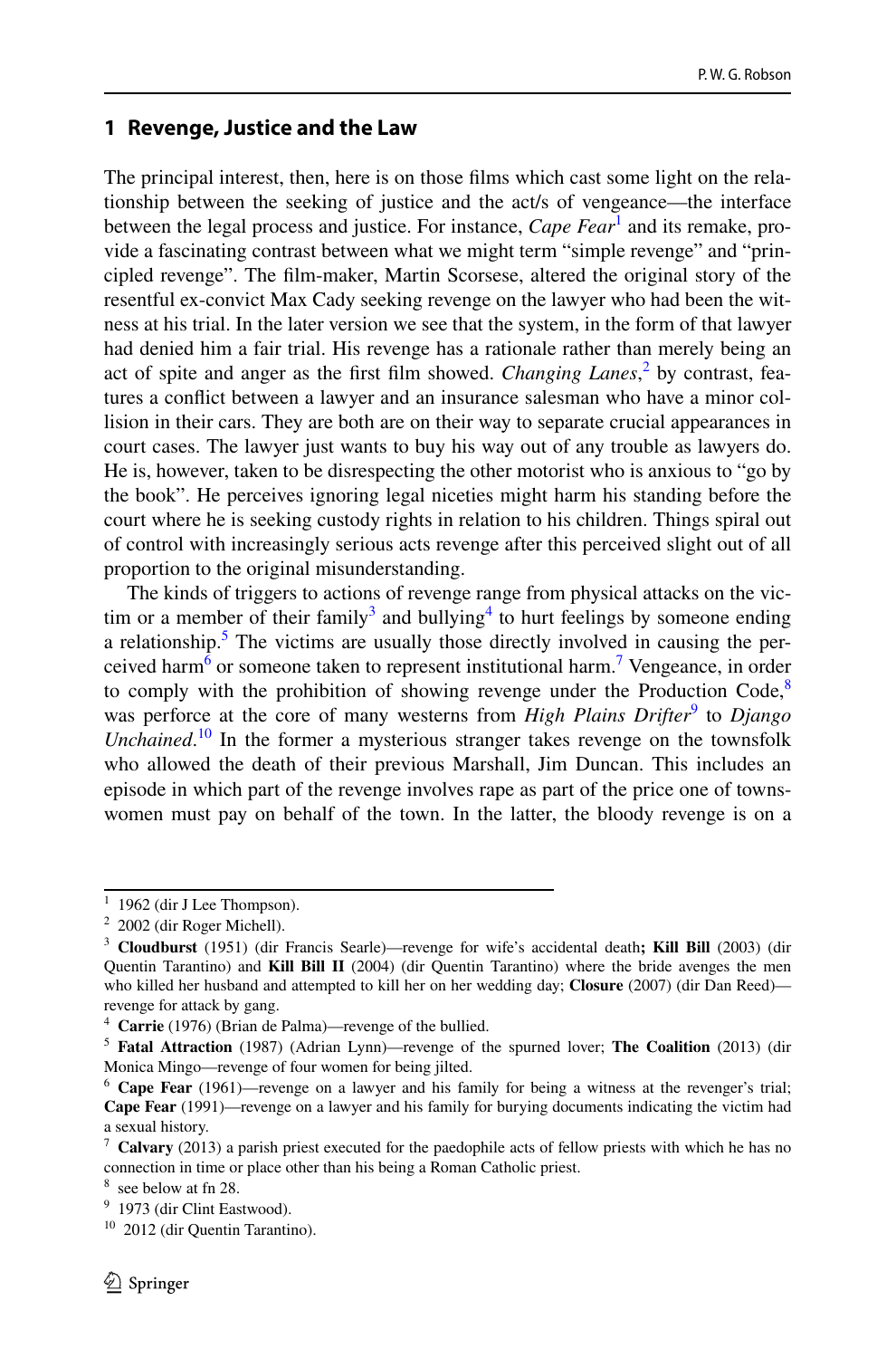#### **1 Revenge, Justice and the Law**

The principal interest, then, here is on those flms which cast some light on the relationship between the seeking of justice and the act/s of vengeance—the interface between the legal process and justice. For instance, *Cape Fear*<sup>[1](#page-1-0)</sup> and its remake, provide a fascinating contrast between what we might term "simple revenge" and "principled revenge". The flm-maker, Martin Scorsese, altered the original story of the resentful ex-convict Max Cady seeking revenge on the lawyer who had been the witness at his trial. In the later version we see that the system, in the form of that lawyer had denied him a fair trial. His revenge has a rationale rather than merely being an act of spite and anger as the first film showed. *Changing Lanes*,<sup>[2](#page-1-1)</sup> by contrast, features a confict between a lawyer and an insurance salesman who have a minor collision in their cars. They are both are on their way to separate crucial appearances in court cases. The lawyer just wants to buy his way out of any trouble as lawyers do. He is, however, taken to be disrespecting the other motorist who is anxious to "go by the book". He perceives ignoring legal niceties might harm his standing before the court where he is seeking custody rights in relation to his children. Things spiral out of control with increasingly serious acts revenge after this perceived slight out of all proportion to the original misunderstanding.

The kinds of triggers to actions of revenge range from physical attacks on the vic-tim or a member of their family<sup>[3](#page-1-2)</sup> and bullying<sup>4</sup> to hurt feelings by someone ending a relationship.<sup>[5](#page-1-4)</sup> The victims are usually those directly involved in causing the perceived har[m6](#page-1-5) or someone taken to represent institutional harm.[7](#page-1-6) Vengeance, in order to comply with the prohibition of showing revenge under the Production Code, $8$ was perforce at the core of many westerns from *High Plains Drifter*<sup>[9](#page-1-8)</sup> to *Django Unchained*. [10](#page-1-9) In the former a mysterious stranger takes revenge on the townsfolk who allowed the death of their previous Marshall, Jim Duncan. This includes an episode in which part of the revenge involves rape as part of the price one of townswomen must pay on behalf of the town. In the latter, the bloody revenge is on a

<span id="page-1-0"></span> $1$  1962 (dir J Lee Thompson).

<span id="page-1-1"></span><sup>2</sup> 2002 (dir Roger Michell).

<span id="page-1-2"></span><sup>3</sup> **Cloudburst** (1951) (dir Francis Searle)—revenge for wife's accidental death**; Kill Bill** (2003) (dir Quentin Tarantino) and **Kill Bill II** (2004) (dir Quentin Tarantino) where the bride avenges the men who killed her husband and attempted to kill her on her wedding day; **Closure** (2007) (dir Dan Reed) revenge for attack by gang.

<span id="page-1-3"></span><sup>4</sup> **Carrie** (1976) (Brian de Palma)—revenge of the bullied.

<span id="page-1-4"></span><sup>5</sup> **Fatal Attraction** (1987) (Adrian Lynn)—revenge of the spurned lover; **The Coalition** (2013) (dir Monica Mingo—revenge of four women for being jilted.

<span id="page-1-5"></span><sup>6</sup> **Cape Fear** (1961)—revenge on a lawyer and his family for being a witness at the revenger's trial; **Cape Fear** (1991)—revenge on a lawyer and his family for burying documents indicating the victim had a sexual history.

<span id="page-1-6"></span><sup>7</sup> **Calvary** (2013) a parish priest executed for the paedophile acts of fellow priests with which he has no connection in time or place other than his being a Roman Catholic priest.

<span id="page-1-7"></span><sup>8</sup> see below at fn 28.

<span id="page-1-8"></span><sup>9</sup> 1973 (dir Clint Eastwood).

<span id="page-1-9"></span><sup>&</sup>lt;sup>10</sup> 2012 (dir Quentin Tarantino).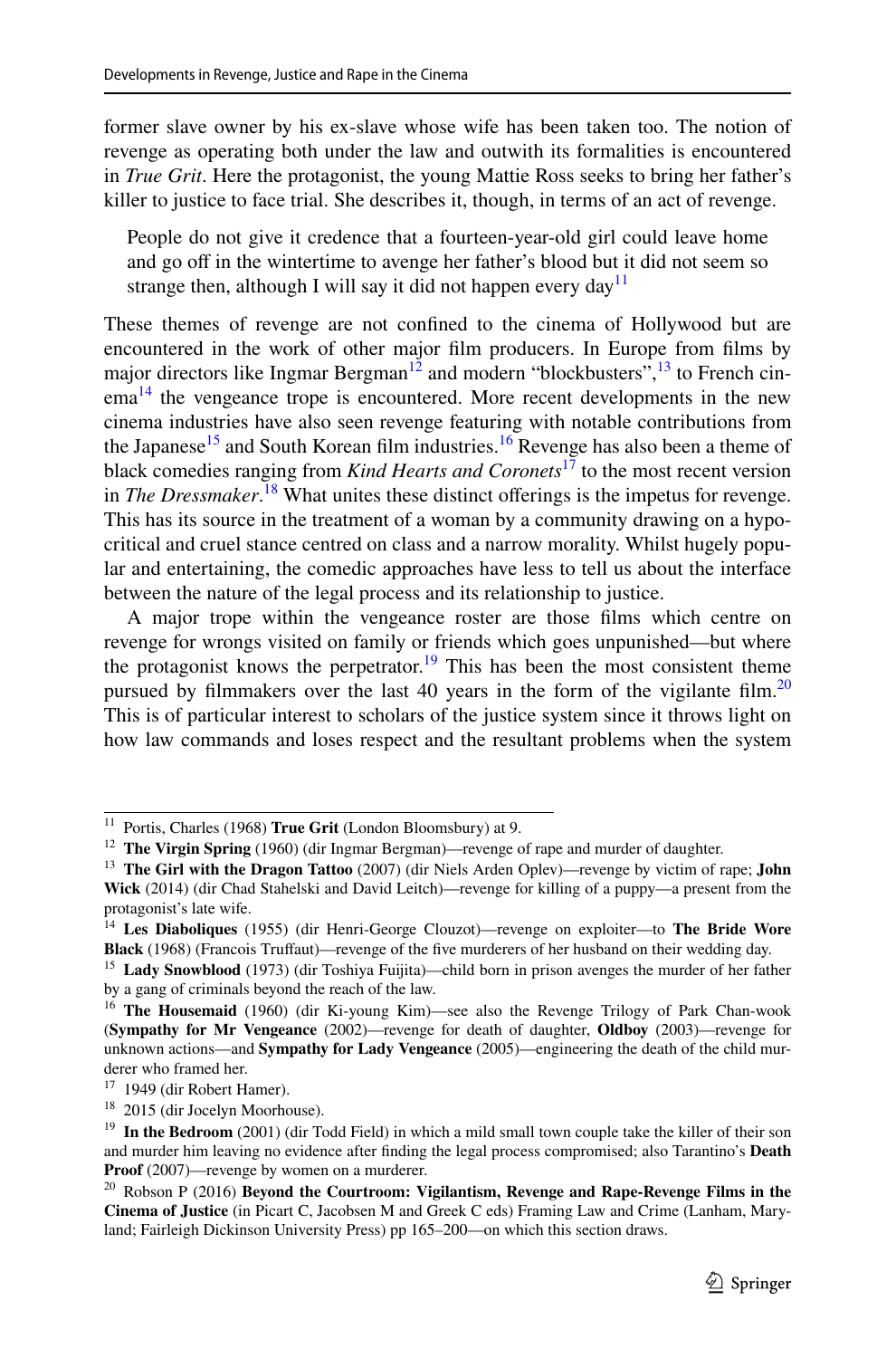former slave owner by his ex-slave whose wife has been taken too. The notion of revenge as operating both under the law and outwith its formalities is encountered in *True Grit*. Here the protagonist, the young Mattie Ross seeks to bring her father's killer to justice to face trial. She describes it, though, in terms of an act of revenge.

People do not give it credence that a fourteen-year-old girl could leave home and go off in the wintertime to avenge her father's blood but it did not seem so strange then, although I will say it did not happen every day<sup>11</sup>

These themes of revenge are not confned to the cinema of Hollywood but are encountered in the work of other major flm producers. In Europe from flms by major directors like Ingmar Bergman<sup>12</sup> and modern "blockbusters",  $^{13}$  to French cin- $\text{ema}^{14}$  the vengeance trope is encountered. More recent developments in the new cinema industries have also seen revenge featuring with notable contributions from the Japanese<sup>15</sup> and South Korean film industries.<sup>16</sup> Revenge has also been a theme of black comedies ranging from *Kind Hearts and Coronets*[17](#page-2-6) to the most recent version in *The Dressmaker*. [18](#page-2-7) What unites these distinct oferings is the impetus for revenge. This has its source in the treatment of a woman by a community drawing on a hypocritical and cruel stance centred on class and a narrow morality. Whilst hugely popular and entertaining, the comedic approaches have less to tell us about the interface between the nature of the legal process and its relationship to justice.

A major trope within the vengeance roster are those flms which centre on revenge for wrongs visited on family or friends which goes unpunished—but where the protagonist knows the perpetrator.<sup>19</sup> This has been the most consistent theme pursued by filmmakers over the last 40 years in the form of the vigilante film.<sup>[20](#page-2-9)</sup> This is of particular interest to scholars of the justice system since it throws light on how law commands and loses respect and the resultant problems when the system

<span id="page-2-0"></span><sup>11</sup> Portis, Charles (1968) **True Grit** (London Bloomsbury) at 9.

<span id="page-2-1"></span><sup>12</sup> **The Virgin Spring** (1960) (dir Ingmar Bergman)—revenge of rape and murder of daughter.

<span id="page-2-2"></span><sup>13</sup> **The Girl with the Dragon Tattoo** (2007) (dir Niels Arden Oplev)—revenge by victim of rape; **John Wick** (2014) (dir Chad Stahelski and David Leitch)—revenge for killing of a puppy—a present from the protagonist's late wife.

<span id="page-2-3"></span><sup>14</sup> **Les Diaboliques** (1955) (dir Henri-George Clouzot)—revenge on exploiter—to **The Bride Wore Black** (1968) (Francois Trufaut)—revenge of the fve murderers of her husband on their wedding day.

<span id="page-2-4"></span><sup>15</sup> **Lady Snowblood** (1973) (dir Toshiya Fuijita)—child born in prison avenges the murder of her father by a gang of criminals beyond the reach of the law.

<span id="page-2-5"></span><sup>16</sup> **The Housemaid** (1960) (dir Ki-young Kim)—see also the Revenge Trilogy of Park Chan-wook (**Sympathy for Mr Vengeance** (2002)—revenge for death of daughter, **Oldboy** (2003)—revenge for unknown actions—and **Sympathy for Lady Vengeance** (2005)—engineering the death of the child murderer who framed her.

<span id="page-2-6"></span> $17$  1949 (dir Robert Hamer).

<span id="page-2-7"></span><sup>18</sup> 2015 (dir Jocelyn Moorhouse).

<span id="page-2-8"></span><sup>&</sup>lt;sup>19</sup> In the Bedroom (2001) (dir Todd Field) in which a mild small town couple take the killer of their son and murder him leaving no evidence after fnding the legal process compromised; also Tarantino's **Death Proof** (2007)—revenge by women on a murderer.

<span id="page-2-9"></span><sup>20</sup> Robson P (2016) **Beyond the Courtroom: Vigilantism, Revenge and Rape-Revenge Films in the Cinema of Justice** (in Picart C, Jacobsen M and Greek C eds) Framing Law and Crime (Lanham, Maryland; Fairleigh Dickinson University Press) pp 165–200—on which this section draws.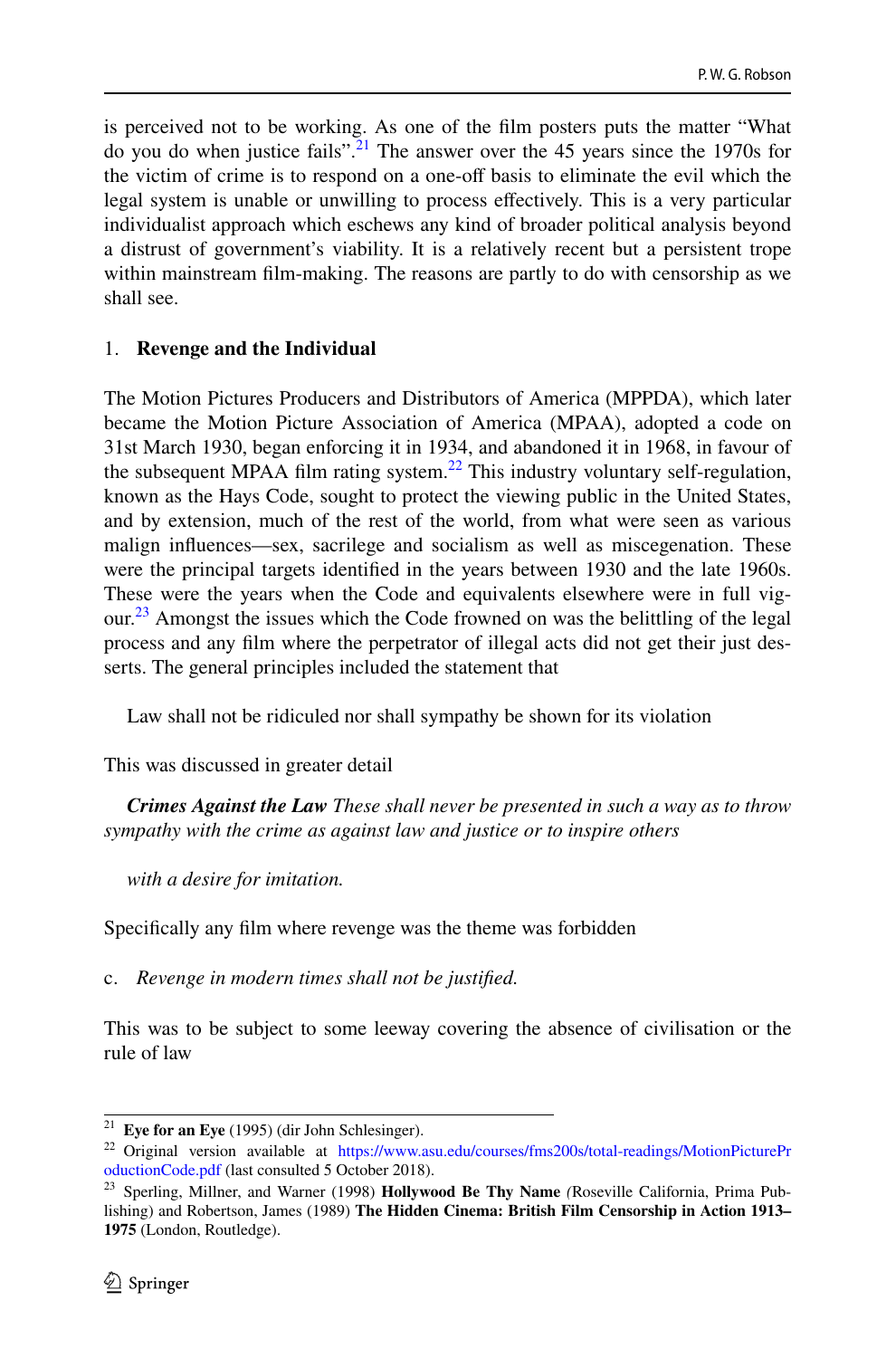is perceived not to be working. As one of the flm posters puts the matter "What do you do when justice fails".<sup>21</sup> The answer over the 45 years since the 1970s for the victim of crime is to respond on a one-of basis to eliminate the evil which the legal system is unable or unwilling to process efectively. This is a very particular individualist approach which eschews any kind of broader political analysis beyond a distrust of government's viability. It is a relatively recent but a persistent trope within mainstream flm-making. The reasons are partly to do with censorship as we shall see.

#### 1. **Revenge and the Individual**

The Motion Pictures Producers and Distributors of America (MPPDA), which later became the Motion Picture Association of America (MPAA), adopted a code on 31st March 1930, began enforcing it in 1934, and abandoned it in 1968, in favour of the subsequent MPAA film rating system.<sup>22</sup> This industry voluntary self-regulation, known as the Hays Code, sought to protect the viewing public in the United States, and by extension, much of the rest of the world, from what were seen as various malign infuences—sex, sacrilege and socialism as well as miscegenation. These were the principal targets identifed in the years between 1930 and the late 1960s. These were the years when the Code and equivalents elsewhere were in full vig-our.<sup>[23](#page-3-2)</sup> Amongst the issues which the Code frowned on was the belittling of the legal process and any flm where the perpetrator of illegal acts did not get their just desserts. The general principles included the statement that

Law shall not be ridiculed nor shall sympathy be shown for its violation

This was discussed in greater detail

*Crimes Against the Law These shall never be presented in such a way as to throw sympathy with the crime as against law and justice or to inspire others*

*with a desire for imitation.*

Specifcally any flm where revenge was the theme was forbidden

c. *Revenge in modern times shall not be justifed.*

This was to be subject to some leeway covering the absence of civilisation or the rule of law

<span id="page-3-0"></span><sup>21</sup> **Eye for an Eye** (1995) (dir John Schlesinger).

<span id="page-3-1"></span><sup>&</sup>lt;sup>22</sup> Original version available at [https://www.asu.edu/courses/fms200s/total-readings/MotionPicturePr](https://www.asu.edu/courses/fms200s/total-readings/MotionPictureProductionCode.pdf) [oductionCode.pdf](https://www.asu.edu/courses/fms200s/total-readings/MotionPictureProductionCode.pdf) (last consulted 5 October 2018).

<span id="page-3-2"></span><sup>23</sup> Sperling, Millner, and Warner (1998) **Hollywood Be Thy Name** *(*Roseville California, Prima Publishing) and Robertson, James (1989) **The Hidden Cinema: British Film Censorship in Action 1913– 1975** (London, Routledge).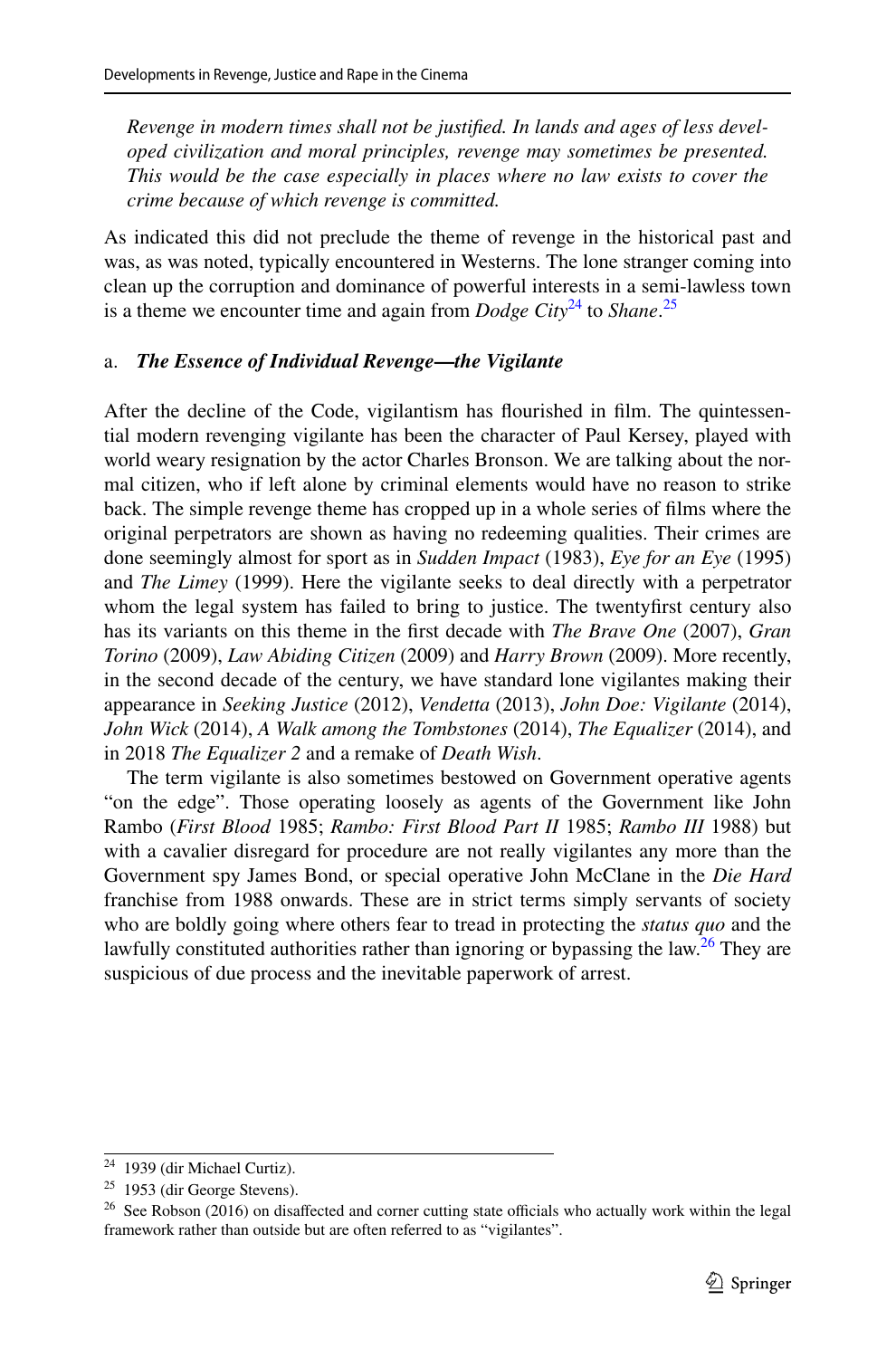*Revenge in modern times shall not be justifed. In lands and ages of less developed civilization and moral principles, revenge may sometimes be presented. This would be the case especially in places where no law exists to cover the crime because of which revenge is committed.*

As indicated this did not preclude the theme of revenge in the historical past and was, as was noted, typically encountered in Westerns. The lone stranger coming into clean up the corruption and dominance of powerful interests in a semi-lawless town is a theme we encounter time and again from *Dodge City*<sup>24</sup> to *Shane*.<sup>[25](#page-4-1)</sup>

### a. *The Essence of Individual Revenge***—***the Vigilante*

After the decline of the Code, vigilantism has fourished in flm. The quintessential modern revenging vigilante has been the character of Paul Kersey, played with world weary resignation by the actor Charles Bronson. We are talking about the normal citizen, who if left alone by criminal elements would have no reason to strike back. The simple revenge theme has cropped up in a whole series of flms where the original perpetrators are shown as having no redeeming qualities. Their crimes are done seemingly almost for sport as in *Sudden Impact* (1983), *Eye for an Eye* (1995) and *The Limey* (1999). Here the vigilante seeks to deal directly with a perpetrator whom the legal system has failed to bring to justice. The twentyfrst century also has its variants on this theme in the frst decade with *The Brave One* (2007), *Gran Torino* (2009), *Law Abiding Citizen* (2009) and *Harry Brown* (2009). More recently, in the second decade of the century, we have standard lone vigilantes making their appearance in *Seeking Justice* (2012), *Vendetta* (2013), *John Doe: Vigilante* (2014), *John Wick* (2014), *A Walk among the Tombstones* (2014), *The Equalizer* (2014), and in 2018 *The Equalizer 2* and a remake of *Death Wish*.

The term vigilante is also sometimes bestowed on Government operative agents "on the edge". Those operating loosely as agents of the Government like John Rambo (*First Blood* 1985; *Rambo: First Blood Part II* 1985; *Rambo III* 1988) but with a cavalier disregard for procedure are not really vigilantes any more than the Government spy James Bond, or special operative John McClane in the *Die Hard* franchise from 1988 onwards. These are in strict terms simply servants of society who are boldly going where others fear to tread in protecting the *status quo* and the lawfully constituted authorities rather than ignoring or bypassing the law.<sup>26</sup> They are suspicious of due process and the inevitable paperwork of arrest.

<span id="page-4-0"></span><sup>24</sup> 1939 (dir Michael Curtiz).

<span id="page-4-1"></span><sup>25</sup> 1953 (dir George Stevens).

<span id="page-4-2"></span><sup>&</sup>lt;sup>26</sup> See Robson (2016) on disaffected and corner cutting state officials who actually work within the legal framework rather than outside but are often referred to as "vigilantes".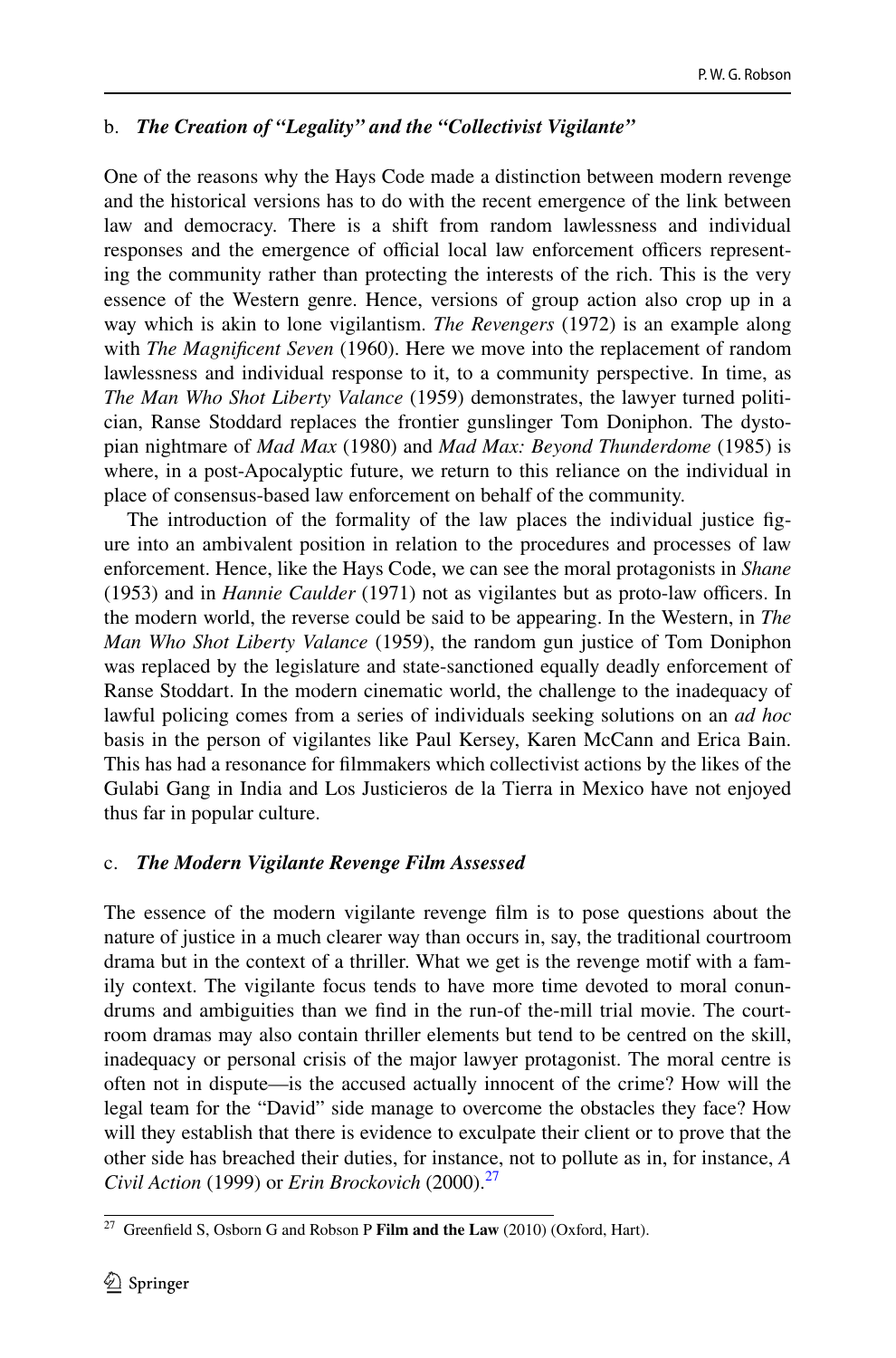## b. *The Creation of "Legality" and the "Collectivist Vigilante"*

One of the reasons why the Hays Code made a distinction between modern revenge and the historical versions has to do with the recent emergence of the link between law and democracy. There is a shift from random lawlessness and individual responses and the emergence of official local law enforcement officers representing the community rather than protecting the interests of the rich. This is the very essence of the Western genre. Hence, versions of group action also crop up in a way which is akin to lone vigilantism. *The Revengers* (1972) is an example along with *The Magnifcent Seven* (1960). Here we move into the replacement of random lawlessness and individual response to it, to a community perspective. In time, as *The Man Who Shot Liberty Valance* (1959) demonstrates, the lawyer turned politician, Ranse Stoddard replaces the frontier gunslinger Tom Doniphon. The dystopian nightmare of *Mad Max* (1980) and *Mad Max: Beyond Thunderdome* (1985) is where, in a post-Apocalyptic future, we return to this reliance on the individual in place of consensus-based law enforcement on behalf of the community.

The introduction of the formality of the law places the individual justice fgure into an ambivalent position in relation to the procedures and processes of law enforcement. Hence, like the Hays Code, we can see the moral protagonists in *Shane* (1953) and in *Hannie Caulder* (1971) not as vigilantes but as proto-law officers. In the modern world, the reverse could be said to be appearing. In the Western, in *The Man Who Shot Liberty Valance* (1959), the random gun justice of Tom Doniphon was replaced by the legislature and state-sanctioned equally deadly enforcement of Ranse Stoddart. In the modern cinematic world, the challenge to the inadequacy of lawful policing comes from a series of individuals seeking solutions on an *ad hoc* basis in the person of vigilantes like Paul Kersey, Karen McCann and Erica Bain. This has had a resonance for flmmakers which collectivist actions by the likes of the Gulabi Gang in India and Los Justicieros de la Tierra in Mexico have not enjoyed thus far in popular culture.

### c. *The Modern Vigilante Revenge Film Assessed*

The essence of the modern vigilante revenge flm is to pose questions about the nature of justice in a much clearer way than occurs in, say, the traditional courtroom drama but in the context of a thriller. What we get is the revenge motif with a family context. The vigilante focus tends to have more time devoted to moral conundrums and ambiguities than we fnd in the run-of the-mill trial movie. The courtroom dramas may also contain thriller elements but tend to be centred on the skill, inadequacy or personal crisis of the major lawyer protagonist. The moral centre is often not in dispute—is the accused actually innocent of the crime? How will the legal team for the "David" side manage to overcome the obstacles they face? How will they establish that there is evidence to exculpate their client or to prove that the other side has breached their duties, for instance, not to pollute as in, for instance, *A Civil Action* (1999) or *Erin Brockovich* (2000)[.27](#page-5-0)

<span id="page-5-0"></span><sup>27</sup> Greenfeld S, Osborn G and Robson P **Film and the Law** (2010) (Oxford, Hart).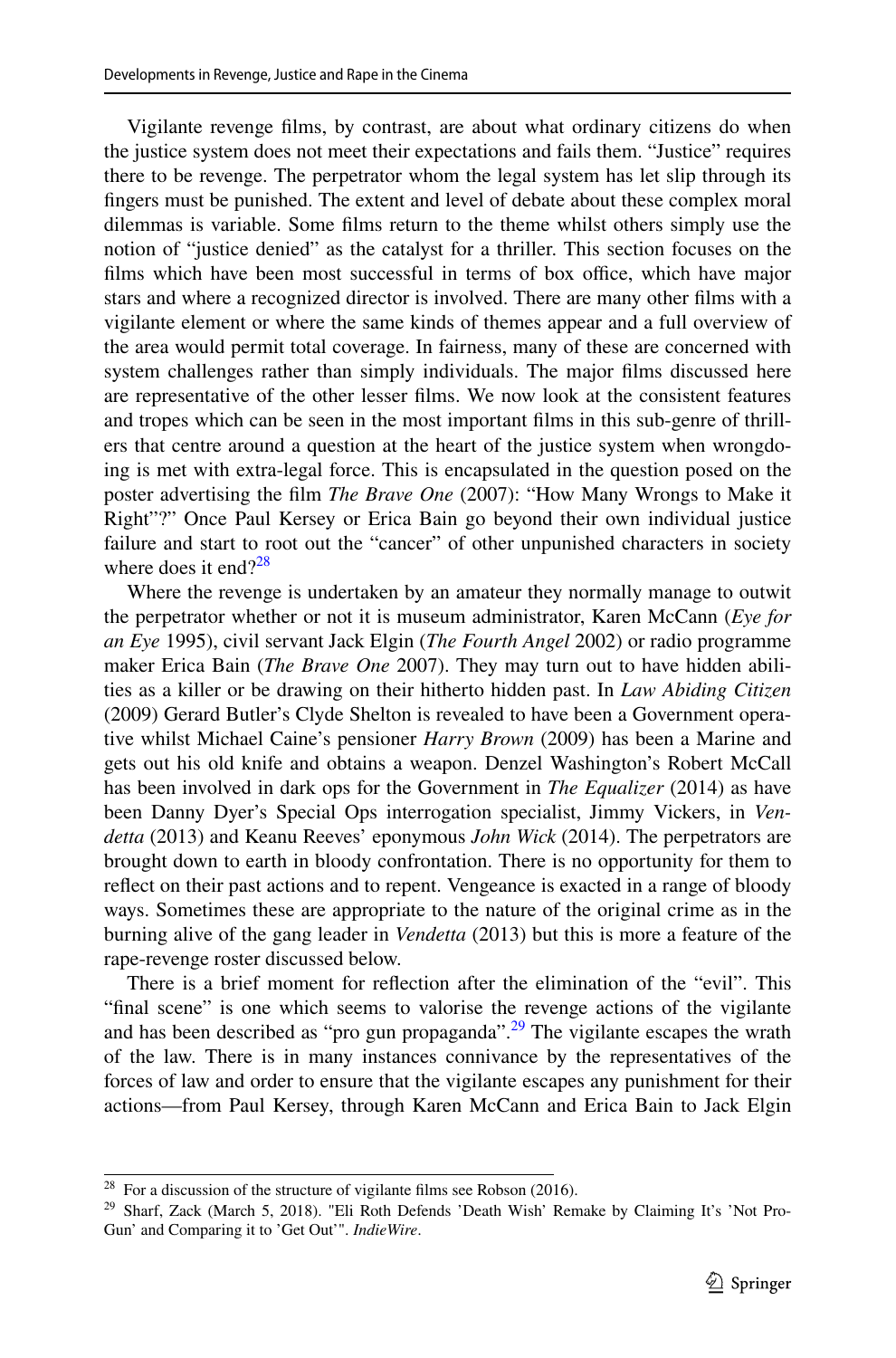Vigilante revenge flms, by contrast, are about what ordinary citizens do when the justice system does not meet their expectations and fails them. "Justice" requires there to be revenge. The perpetrator whom the legal system has let slip through its fngers must be punished. The extent and level of debate about these complex moral dilemmas is variable. Some flms return to the theme whilst others simply use the notion of "justice denied" as the catalyst for a thriller. This section focuses on the films which have been most successful in terms of box office, which have major stars and where a recognized director is involved. There are many other flms with a vigilante element or where the same kinds of themes appear and a full overview of the area would permit total coverage. In fairness, many of these are concerned with system challenges rather than simply individuals. The major flms discussed here are representative of the other lesser flms. We now look at the consistent features and tropes which can be seen in the most important flms in this sub-genre of thrillers that centre around a question at the heart of the justice system when wrongdoing is met with extra-legal force. This is encapsulated in the question posed on the poster advertising the flm *The Brave One* (2007): "How Many Wrongs to Make it Right"?" Once Paul Kersey or Erica Bain go beyond their own individual justice failure and start to root out the "cancer" of other unpunished characters in society where does it end? $28$ 

Where the revenge is undertaken by an amateur they normally manage to outwit the perpetrator whether or not it is museum administrator, Karen McCann (*Eye for an Eye* 1995), civil servant Jack Elgin (*The Fourth Angel* 2002) or radio programme maker Erica Bain (*The Brave One* 2007). They may turn out to have hidden abilities as a killer or be drawing on their hitherto hidden past. In *Law Abiding Citizen* (2009) Gerard Butler's Clyde Shelton is revealed to have been a Government operative whilst Michael Caine's pensioner *Harry Brown* (2009) has been a Marine and gets out his old knife and obtains a weapon. Denzel Washington's Robert McCall has been involved in dark ops for the Government in *The Equalizer* (2014) as have been Danny Dyer's Special Ops interrogation specialist, Jimmy Vickers, in *Vendetta* (2013) and Keanu Reeves' eponymous *John Wick* (2014). The perpetrators are brought down to earth in bloody confrontation. There is no opportunity for them to refect on their past actions and to repent. Vengeance is exacted in a range of bloody ways. Sometimes these are appropriate to the nature of the original crime as in the burning alive of the gang leader in *Vendetta* (2013) but this is more a feature of the rape-revenge roster discussed below.

There is a brief moment for refection after the elimination of the "evil". This "fnal scene" is one which seems to valorise the revenge actions of the vigilante and has been described as "pro gun propaganda".<sup>29</sup> The vigilante escapes the wrath of the law. There is in many instances connivance by the representatives of the forces of law and order to ensure that the vigilante escapes any punishment for their actions—from Paul Kersey, through Karen McCann and Erica Bain to Jack Elgin

<span id="page-6-0"></span> $28$  For a discussion of the structure of vigilante films see Robson (2016).

<span id="page-6-1"></span><sup>&</sup>lt;sup>29</sup> Sharf, Zack (March 5, 2018). "Eli Roth Defends 'Death Wish' Remake by Claiming It's 'Not Pro-Gun' and Comparing it to 'Get Out'". *IndieWire*.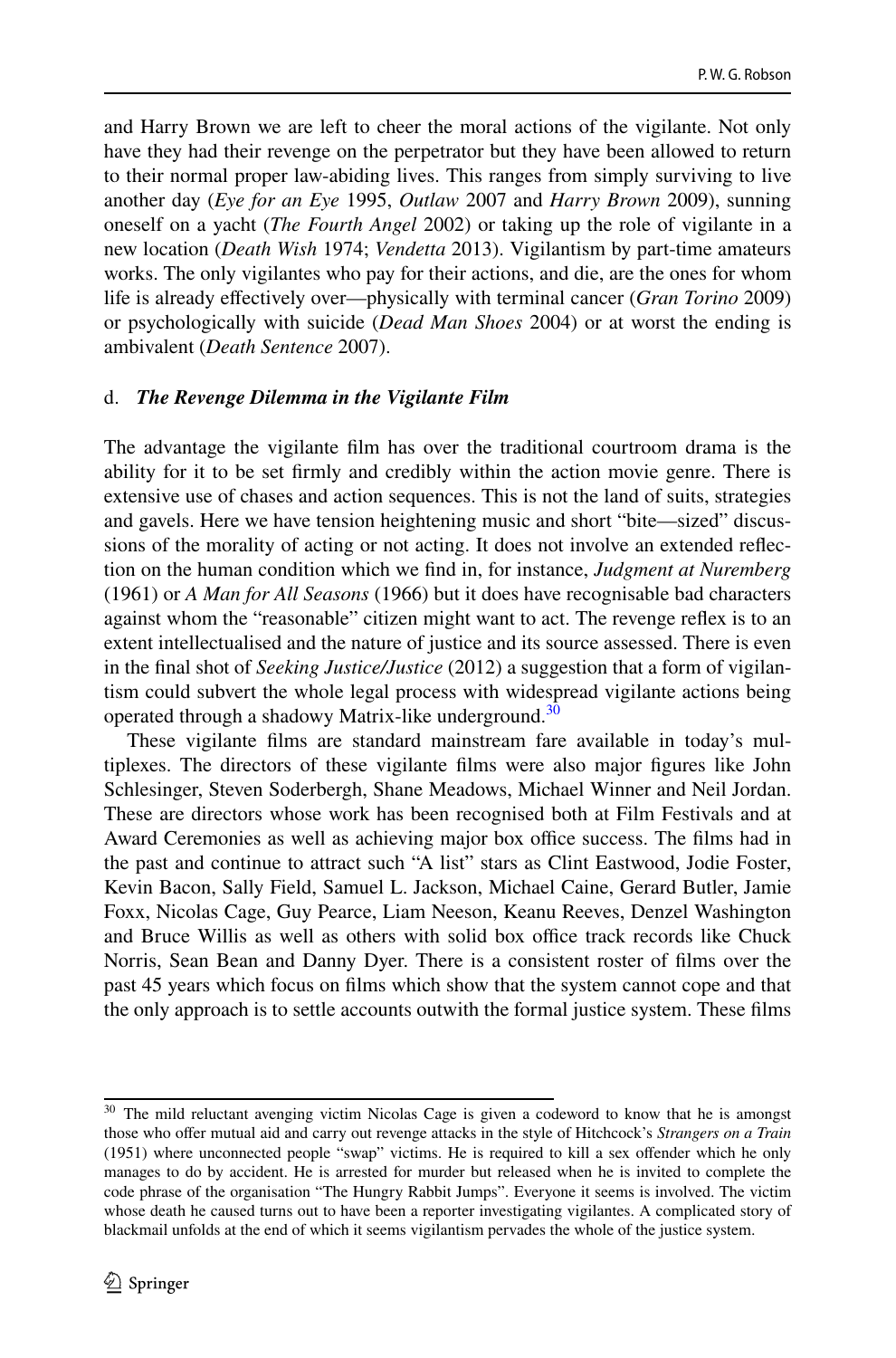and Harry Brown we are left to cheer the moral actions of the vigilante. Not only have they had their revenge on the perpetrator but they have been allowed to return to their normal proper law-abiding lives. This ranges from simply surviving to live another day (*Eye for an Eye* 1995, *Outlaw* 2007 and *Harry Brown* 2009), sunning oneself on a yacht (*The Fourth Angel* 2002) or taking up the role of vigilante in a new location (*Death Wish* 1974; *Vendetta* 2013). Vigilantism by part-time amateurs works. The only vigilantes who pay for their actions, and die, are the ones for whom life is already efectively over—physically with terminal cancer (*Gran Torino* 2009) or psychologically with suicide (*Dead Man Shoes* 2004) or at worst the ending is ambivalent (*Death Sentence* 2007).

#### d. *The Revenge Dilemma in the Vigilante Film*

The advantage the vigilante flm has over the traditional courtroom drama is the ability for it to be set frmly and credibly within the action movie genre. There is extensive use of chases and action sequences. This is not the land of suits, strategies and gavels. Here we have tension heightening music and short "bite—sized" discussions of the morality of acting or not acting. It does not involve an extended refection on the human condition which we fnd in, for instance, *Judgment at Nuremberg* (1961) or *A Man for All Seasons* (1966) but it does have recognisable bad characters against whom the "reasonable" citizen might want to act. The revenge refex is to an extent intellectualised and the nature of justice and its source assessed. There is even in the fnal shot of *Seeking Justice/Justice* (2012) a suggestion that a form of vigilantism could subvert the whole legal process with widespread vigilante actions being operated through a shadowy Matrix-like underground.<sup>[30](#page-7-0)</sup>

These vigilante flms are standard mainstream fare available in today's multiplexes. The directors of these vigilante flms were also major fgures like John Schlesinger, Steven Soderbergh, Shane Meadows, Michael Winner and Neil Jordan. These are directors whose work has been recognised both at Film Festivals and at Award Ceremonies as well as achieving major box office success. The films had in the past and continue to attract such "A list" stars as Clint Eastwood, Jodie Foster, Kevin Bacon, Sally Field, Samuel L. Jackson, Michael Caine, Gerard Butler, Jamie Foxx, Nicolas Cage, Guy Pearce, Liam Neeson, Keanu Reeves, Denzel Washington and Bruce Willis as well as others with solid box office track records like Chuck Norris, Sean Bean and Danny Dyer. There is a consistent roster of flms over the past 45 years which focus on flms which show that the system cannot cope and that the only approach is to settle accounts outwith the formal justice system. These flms

<span id="page-7-0"></span><sup>&</sup>lt;sup>30</sup> The mild reluctant avenging victim Nicolas Cage is given a codeword to know that he is amongst those who ofer mutual aid and carry out revenge attacks in the style of Hitchcock's *Strangers on a Train* (1951) where unconnected people "swap" victims. He is required to kill a sex ofender which he only manages to do by accident. He is arrested for murder but released when he is invited to complete the code phrase of the organisation "The Hungry Rabbit Jumps". Everyone it seems is involved. The victim whose death he caused turns out to have been a reporter investigating vigilantes. A complicated story of blackmail unfolds at the end of which it seems vigilantism pervades the whole of the justice system.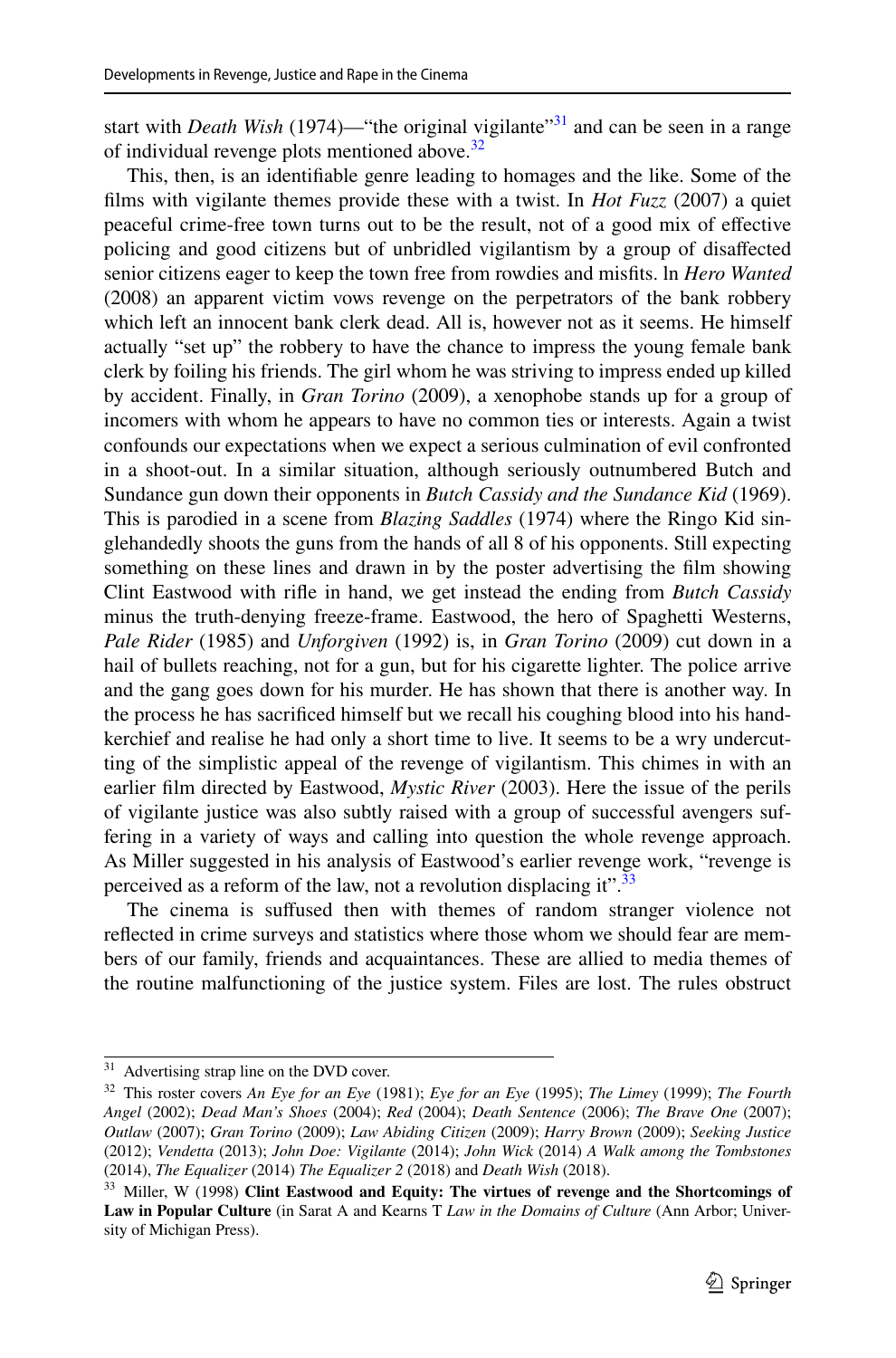start with *Death Wish* (1974)—"the original vigilante"<sup>31</sup> and can be seen in a range of individual revenge plots mentioned above.<sup>[32](#page-8-1)</sup>

This, then, is an identifable genre leading to homages and the like. Some of the flms with vigilante themes provide these with a twist. In *Hot Fuzz* (2007) a quiet peaceful crime-free town turns out to be the result, not of a good mix of efective policing and good citizens but of unbridled vigilantism by a group of disafected senior citizens eager to keep the town free from rowdies and misfts. ln *Hero Wanted* (2008) an apparent victim vows revenge on the perpetrators of the bank robbery which left an innocent bank clerk dead. All is, however not as it seems. He himself actually "set up" the robbery to have the chance to impress the young female bank clerk by foiling his friends. The girl whom he was striving to impress ended up killed by accident. Finally, in *Gran Torino* (2009), a xenophobe stands up for a group of incomers with whom he appears to have no common ties or interests. Again a twist confounds our expectations when we expect a serious culmination of evil confronted in a shoot-out. In a similar situation, although seriously outnumbered Butch and Sundance gun down their opponents in *Butch Cassidy and the Sundance Kid* (1969). This is parodied in a scene from *Blazing Saddles* (1974) where the Ringo Kid singlehandedly shoots the guns from the hands of all 8 of his opponents. Still expecting something on these lines and drawn in by the poster advertising the flm showing Clint Eastwood with rife in hand, we get instead the ending from *Butch Cassidy* minus the truth-denying freeze-frame. Eastwood, the hero of Spaghetti Westerns, *Pale Rider* (1985) and *Unforgiven* (1992) is, in *Gran Torino* (2009) cut down in a hail of bullets reaching, not for a gun, but for his cigarette lighter. The police arrive and the gang goes down for his murder. He has shown that there is another way. In the process he has sacrifced himself but we recall his coughing blood into his handkerchief and realise he had only a short time to live. It seems to be a wry undercutting of the simplistic appeal of the revenge of vigilantism. This chimes in with an earlier flm directed by Eastwood, *Mystic River* (2003). Here the issue of the perils of vigilante justice was also subtly raised with a group of successful avengers suffering in a variety of ways and calling into question the whole revenge approach. As Miller suggested in his analysis of Eastwood's earlier revenge work, "revenge is perceived as a reform of the law, not a revolution displacing it".<sup>[33](#page-8-2)</sup>

The cinema is sufused then with themes of random stranger violence not refected in crime surveys and statistics where those whom we should fear are members of our family, friends and acquaintances. These are allied to media themes of the routine malfunctioning of the justice system. Files are lost. The rules obstruct

<span id="page-8-0"></span><sup>&</sup>lt;sup>31</sup> Advertising strap line on the DVD cover.

<span id="page-8-1"></span><sup>32</sup> This roster covers *An Eye for an Eye* (1981); *Eye for an Eye* (1995); *The Limey* (1999); *The Fourth Angel* (2002); *Dead Man's Shoes* (2004); *Red* (2004); *Death Sentence* (2006); *The Brave One* (2007); *Outlaw* (2007); *Gran Torino* (2009); *Law Abiding Citizen* (2009); *Harry Brown* (2009); *Seeking Justice* (2012); *Vendetta* (2013); *John Doe: Vigilante* (2014); *John Wick* (2014) *A Walk among the Tombstones* (2014), *The Equalizer* (2014) *The Equalizer 2* (2018) and *Death Wish* (2018).

<span id="page-8-2"></span><sup>33</sup> Miller, W (1998) **Clint Eastwood and Equity: The virtues of revenge and the Shortcomings of Law in Popular Culture** (in Sarat A and Kearns T *Law in the Domains of Culture* (Ann Arbor; University of Michigan Press).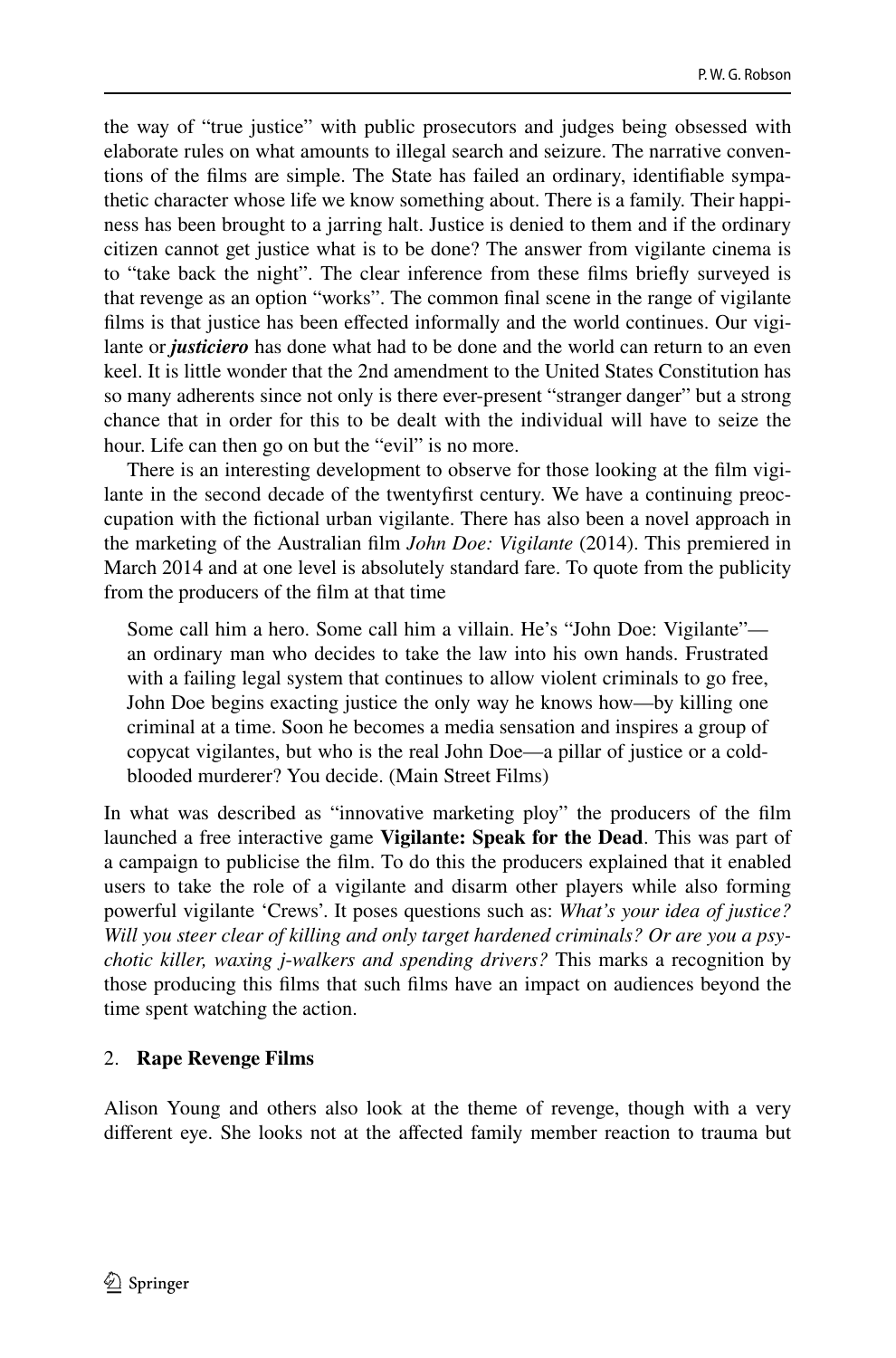the way of "true justice" with public prosecutors and judges being obsessed with elaborate rules on what amounts to illegal search and seizure. The narrative conventions of the flms are simple. The State has failed an ordinary, identifable sympathetic character whose life we know something about. There is a family. Their happiness has been brought to a jarring halt. Justice is denied to them and if the ordinary citizen cannot get justice what is to be done? The answer from vigilante cinema is to "take back the night". The clear inference from these flms briefy surveyed is that revenge as an option "works". The common fnal scene in the range of vigilante flms is that justice has been efected informally and the world continues. Our vigilante or *justiciero* has done what had to be done and the world can return to an even keel. It is little wonder that the 2nd amendment to the United States Constitution has so many adherents since not only is there ever-present "stranger danger" but a strong chance that in order for this to be dealt with the individual will have to seize the hour. Life can then go on but the "evil" is no more.

There is an interesting development to observe for those looking at the flm vigilante in the second decade of the twentyfrst century. We have a continuing preoccupation with the fctional urban vigilante. There has also been a novel approach in the marketing of the Australian flm *John Doe: Vigilante* (2014). This premiered in March 2014 and at one level is absolutely standard fare. To quote from the publicity from the producers of the flm at that time

Some call him a hero. Some call him a villain. He's "John Doe: Vigilante" an ordinary man who decides to take the law into his own hands. Frustrated with a failing legal system that continues to allow violent criminals to go free, John Doe begins exacting justice the only way he knows how—by killing one criminal at a time. Soon he becomes a media sensation and inspires a group of copycat vigilantes, but who is the real John Doe—a pillar of justice or a coldblooded murderer? You decide. (Main Street Films)

In what was described as "innovative marketing ploy" the producers of the flm launched a free interactive game **Vigilante: Speak for the Dead**. This was part of a campaign to publicise the flm. To do this the producers explained that it enabled users to take the role of a vigilante and disarm other players while also forming powerful vigilante 'Crews'. It poses questions such as: *What's your idea of justice? Will you steer clear of killing and only target hardened criminals? Or are you a psychotic killer, waxing j*-*walkers and spending drivers?* This marks a recognition by those producing this flms that such flms have an impact on audiences beyond the time spent watching the action.

### 2. **Rape Revenge Films**

Alison Young and others also look at the theme of revenge, though with a very diferent eye. She looks not at the afected family member reaction to trauma but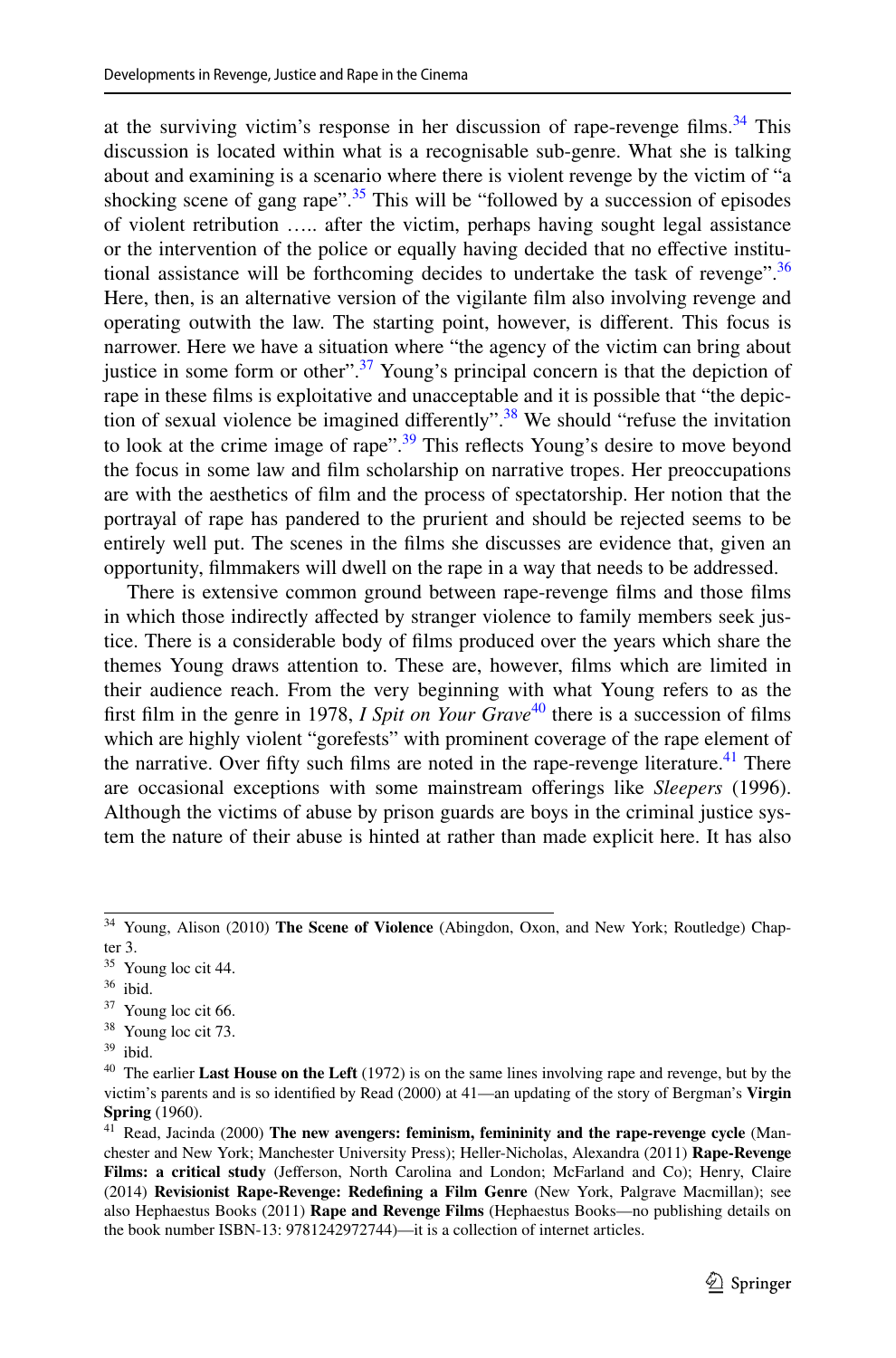at the surviving victim's response in her discussion of rape-revenge films.<sup>34</sup> This discussion is located within what is a recognisable sub-genre. What she is talking about and examining is a scenario where there is violent revenge by the victim of "a shocking scene of gang rape".<sup>35</sup> This will be "followed by a succession of episodes" of violent retribution ….. after the victim, perhaps having sought legal assistance or the intervention of the police or equally having decided that no efective institutional assistance will be forthcoming decides to undertake the task of revenge".<sup>36</sup> Here, then, is an alternative version of the vigilante flm also involving revenge and operating outwith the law. The starting point, however, is diferent. This focus is narrower. Here we have a situation where "the agency of the victim can bring about justice in some form or other".<sup>37</sup> Young's principal concern is that the depiction of rape in these flms is exploitative and unacceptable and it is possible that "the depiction of sexual violence be imagined diferently".[38](#page-10-4) We should "refuse the invitation to look at the crime image of rape".<sup>39</sup> This reflects Young's desire to move beyond the focus in some law and flm scholarship on narrative tropes. Her preoccupations are with the aesthetics of flm and the process of spectatorship. Her notion that the portrayal of rape has pandered to the prurient and should be rejected seems to be entirely well put. The scenes in the flms she discusses are evidence that, given an opportunity, flmmakers will dwell on the rape in a way that needs to be addressed.

There is extensive common ground between rape-revenge flms and those flms in which those indirectly affected by stranger violence to family members seek justice. There is a considerable body of flms produced over the years which share the themes Young draws attention to. These are, however, flms which are limited in their audience reach. From the very beginning with what Young refers to as the frst flm in the genre in 1978, *I Spit on Your Grave*[40](#page-10-6) there is a succession of flms which are highly violent "gorefests" with prominent coverage of the rape element of the narrative. Over fifty such films are noted in the rape-revenge literature.<sup>41</sup> There are occasional exceptions with some mainstream oferings like *Sleepers* (1996). Although the victims of abuse by prison guards are boys in the criminal justice system the nature of their abuse is hinted at rather than made explicit here. It has also

<span id="page-10-4"></span><sup>38</sup> Young loc cit 73.

<span id="page-10-0"></span><sup>34</sup> Young, Alison (2010) **The Scene of Violence** (Abingdon, Oxon, and New York; Routledge) Chapter 3.

<span id="page-10-1"></span><sup>35</sup> Young loc cit 44.

<span id="page-10-2"></span><sup>36</sup> ibid.

<span id="page-10-3"></span><sup>37</sup> Young loc cit 66.

<span id="page-10-5"></span><sup>39</sup> ibid.

<span id="page-10-6"></span><sup>40</sup> The earlier **Last House on the Left** (1972) is on the same lines involving rape and revenge, but by the victim's parents and is so identifed by Read (2000) at 41—an updating of the story of Bergman's **Virgin Spring** (1960).

<span id="page-10-7"></span><sup>41</sup> Read, Jacinda (2000) **The new avengers: feminism, femininity and the rape-revenge cycle** (Manchester and New York; Manchester University Press); Heller-Nicholas, Alexandra (2011) **Rape-Revenge Films: a critical study** (Jeferson, North Carolina and London; McFarland and Co); Henry, Claire (2014) **Revisionist Rape-Revenge: Redefning a Film Genre** (New York, Palgrave Macmillan); see also Hephaestus Books (2011) **Rape and Revenge Films** (Hephaestus Books—no publishing details on the book number ISBN-13: 9781242972744)—it is a collection of internet articles.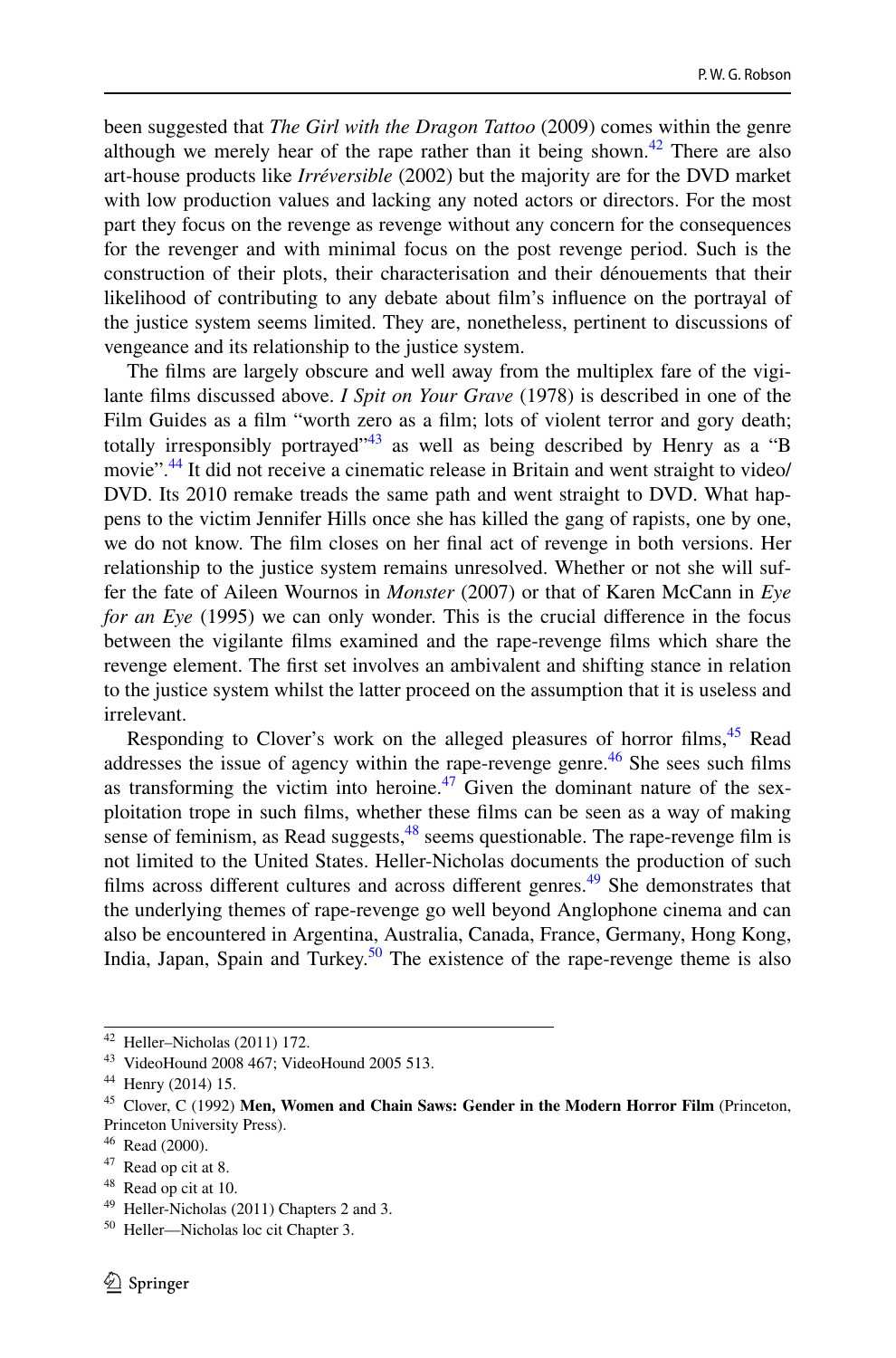been suggested that *The Girl with the Dragon Tattoo* (2009) comes within the genre although we merely hear of the rape rather than it being shown.<sup>42</sup> There are also art-house products like *Irréversible* (2002) but the majority are for the DVD market with low production values and lacking any noted actors or directors. For the most part they focus on the revenge as revenge without any concern for the consequences for the revenger and with minimal focus on the post revenge period. Such is the construction of their plots, their characterisation and their dénouements that their likelihood of contributing to any debate about flm's infuence on the portrayal of the justice system seems limited. They are, nonetheless, pertinent to discussions of vengeance and its relationship to the justice system.

The flms are largely obscure and well away from the multiplex fare of the vigilante flms discussed above. *I Spit on Your Grave* (1978) is described in one of the Film Guides as a film "worth zero as a film; lots of violent terror and gory death; totally irresponsibly portrayed"<sup>43</sup> as well as being described by Henry as a "B movie".<sup>44</sup> It did not receive a cinematic release in Britain and went straight to video/ DVD. Its 2010 remake treads the same path and went straight to DVD. What happens to the victim Jennifer Hills once she has killed the gang of rapists, one by one, we do not know. The flm closes on her fnal act of revenge in both versions. Her relationship to the justice system remains unresolved. Whether or not she will suffer the fate of Aileen Wournos in *Monster* (2007) or that of Karen McCann in *Eye for an Eye* (1995) we can only wonder. This is the crucial diference in the focus between the vigilante flms examined and the rape-revenge flms which share the revenge element. The frst set involves an ambivalent and shifting stance in relation to the justice system whilst the latter proceed on the assumption that it is useless and irrelevant.

Responding to Clover's work on the alleged pleasures of horror films, <sup>45</sup> Read addresses the issue of agency within the rape-revenge genre. $46$  She sees such films as transforming the victim into heroine.<sup>47</sup> Given the dominant nature of the sexploitation trope in such flms, whether these flms can be seen as a way of making sense of feminism, as Read suggests,  $48$  seems questionable. The rape-revenge film is not limited to the United States. Heller-Nicholas documents the production of such films across different cultures and across different genres.<sup>49</sup> She demonstrates that the underlying themes of rape-revenge go well beyond Anglophone cinema and can also be encountered in Argentina, Australia, Canada, France, Germany, Hong Kong, India, Japan, Spain and Turkey.<sup>50</sup> The existence of the rape-revenge theme is also

<span id="page-11-0"></span><sup>42</sup> Heller–Nicholas (2011) 172.

<span id="page-11-1"></span><sup>43</sup> VideoHound 2008 467; VideoHound 2005 513.

<span id="page-11-2"></span><sup>44</sup> Henry (2014) 15.

<span id="page-11-3"></span><sup>45</sup> Clover, C (1992) **Men, Women and Chain Saws: Gender in the Modern Horror Film** (Princeton, Princeton University Press).

<span id="page-11-4"></span><sup>46</sup> Read (2000).

<span id="page-11-5"></span><sup>47</sup> Read op cit at 8.

<span id="page-11-6"></span><sup>48</sup> Read op cit at 10.

<span id="page-11-7"></span><sup>49</sup> Heller-Nicholas (2011) Chapters 2 and 3.

<span id="page-11-8"></span><sup>50</sup> Heller—Nicholas loc cit Chapter 3.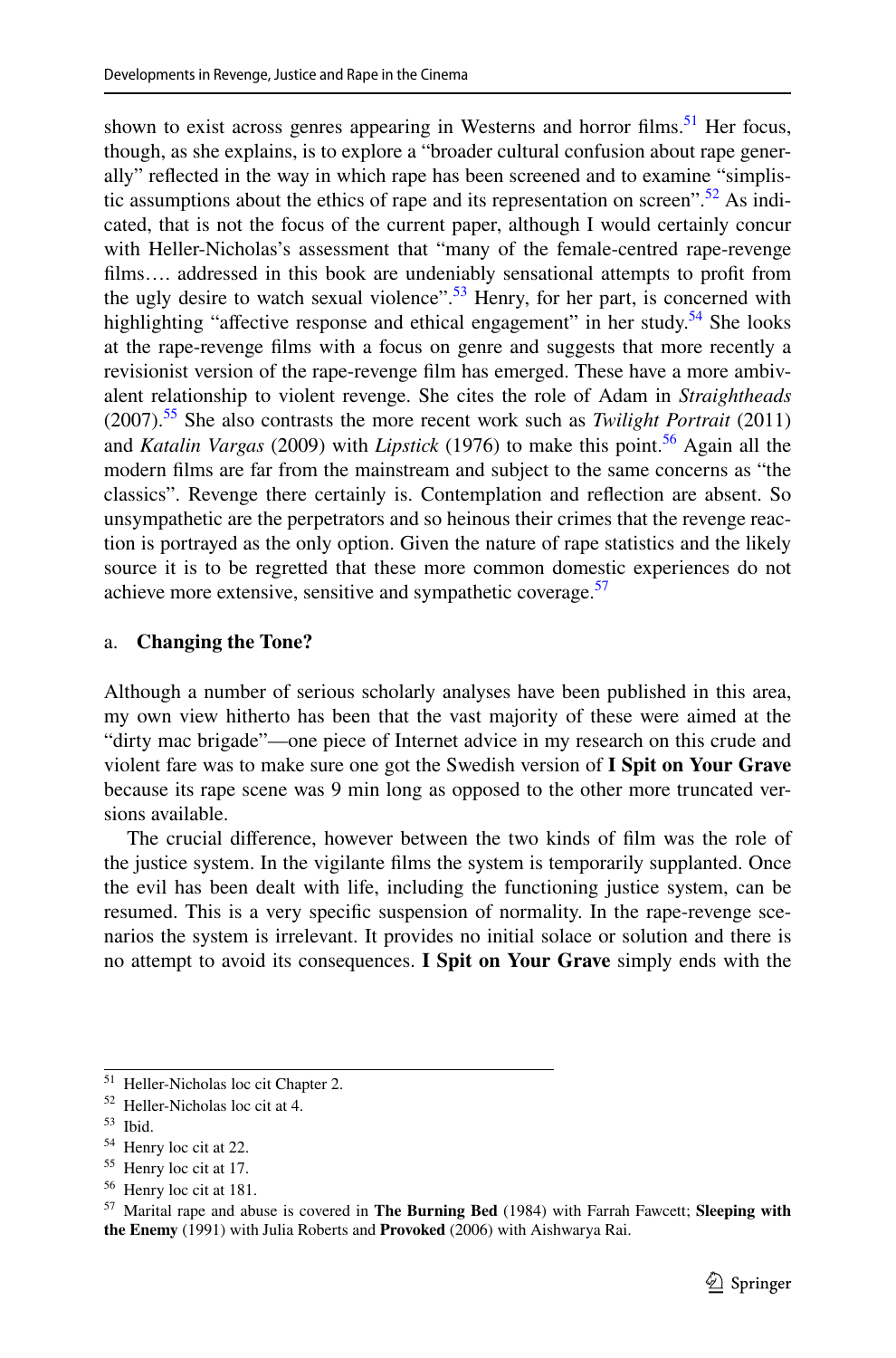shown to exist across genres appearing in Westerns and horror films.<sup>51</sup> Her focus, though, as she explains, is to explore a "broader cultural confusion about rape generally" refected in the way in which rape has been screened and to examine "simplistic assumptions about the ethics of rape and its representation on screen".  $52$  As indicated, that is not the focus of the current paper, although I would certainly concur with Heller-Nicholas's assessment that "many of the female-centred rape-revenge flms…. addressed in this book are undeniably sensational attempts to proft from the ugly desire to watch sexual violence".<sup>[53](#page-12-2)</sup> Henry, for her part, is concerned with highlighting "affective response and ethical engagement" in her study.<sup>54</sup> She looks at the rape-revenge flms with a focus on genre and suggests that more recently a revisionist version of the rape-revenge flm has emerged. These have a more ambivalent relationship to violent revenge. She cites the role of Adam in *Straightheads* (2007)[.55](#page-12-4) She also contrasts the more recent work such as *Twilight Portrait* (2011) and *Katalin Vargas* (2009) with *Lipstick* (1976) to make this point.<sup>[56](#page-12-5)</sup> Again all the modern flms are far from the mainstream and subject to the same concerns as "the classics". Revenge there certainly is. Contemplation and refection are absent. So unsympathetic are the perpetrators and so heinous their crimes that the revenge reaction is portrayed as the only option. Given the nature of rape statistics and the likely source it is to be regretted that these more common domestic experiences do not achieve more extensive, sensitive and sympathetic coverage.<sup>[57](#page-12-6)</sup>

#### a. **Changing the Tone?**

Although a number of serious scholarly analyses have been published in this area, my own view hitherto has been that the vast majority of these were aimed at the "dirty mac brigade"—one piece of Internet advice in my research on this crude and violent fare was to make sure one got the Swedish version of **I Spit on Your Grave** because its rape scene was 9 min long as opposed to the other more truncated versions available.

The crucial diference, however between the two kinds of flm was the role of the justice system. In the vigilante flms the system is temporarily supplanted. Once the evil has been dealt with life, including the functioning justice system, can be resumed. This is a very specifc suspension of normality. In the rape-revenge scenarios the system is irrelevant. It provides no initial solace or solution and there is no attempt to avoid its consequences. **I Spit on Your Grave** simply ends with the

<span id="page-12-0"></span><sup>51</sup> Heller-Nicholas loc cit Chapter 2.

<span id="page-12-1"></span><sup>52</sup> Heller-Nicholas loc cit at 4.

<span id="page-12-2"></span><sup>53</sup> Ibid.

<span id="page-12-3"></span><sup>54</sup> Henry loc cit at 22.

<span id="page-12-4"></span><sup>55</sup> Henry loc cit at 17.

<span id="page-12-5"></span><sup>56</sup> Henry loc cit at 181.

<span id="page-12-6"></span><sup>57</sup> Marital rape and abuse is covered in **The Burning Bed** (1984) with Farrah Fawcett; **Sleeping with the Enemy** (1991) with Julia Roberts and **Provoked** (2006) with Aishwarya Rai.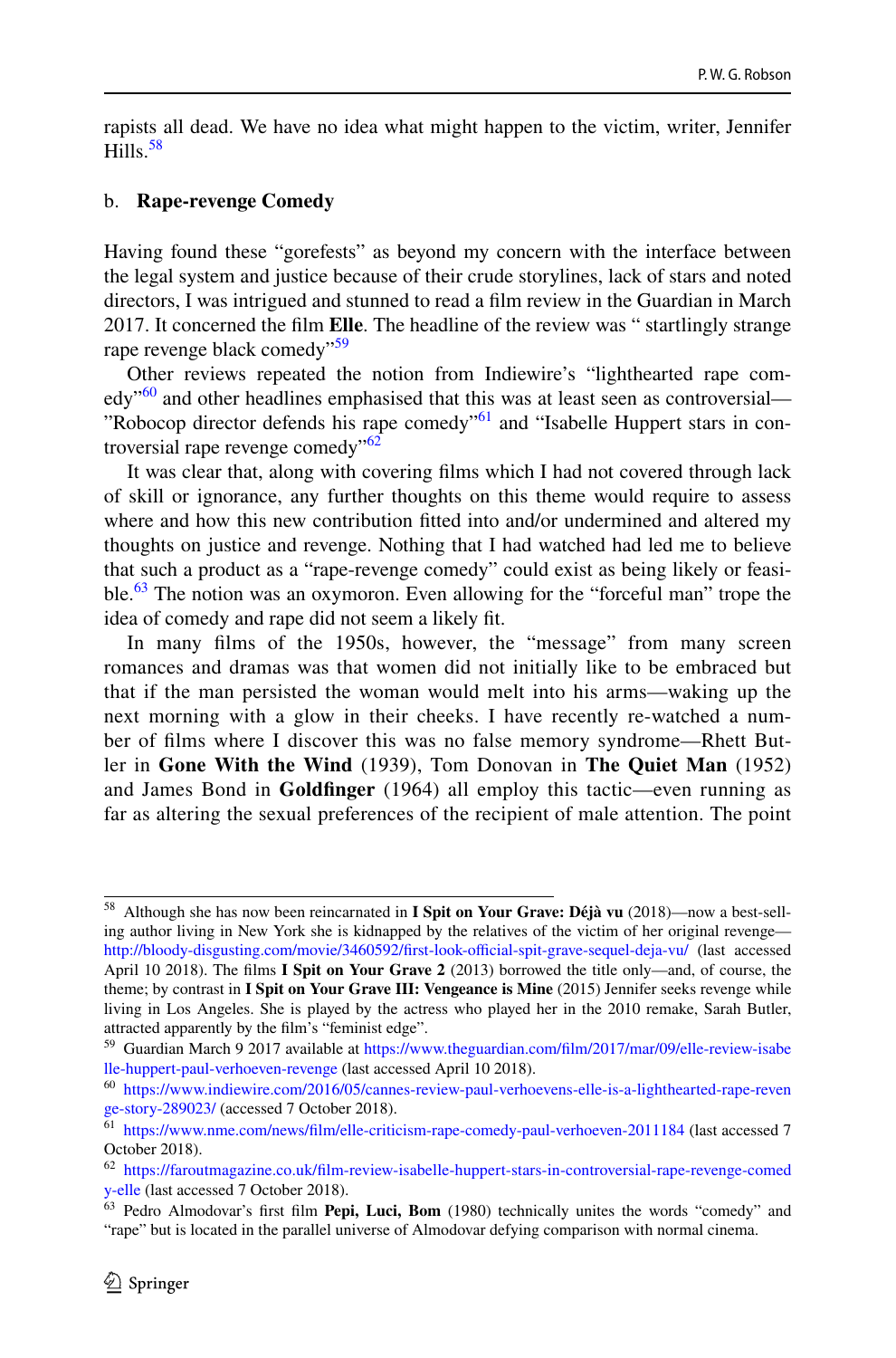rapists all dead. We have no idea what might happen to the victim, writer, Jennifer Hills  $58$ 

#### b. **Rape-revenge Comedy**

Having found these "gorefests" as beyond my concern with the interface between the legal system and justice because of their crude storylines, lack of stars and noted directors, I was intrigued and stunned to read a flm review in the Guardian in March 2017. It concerned the flm **Elle**. The headline of the review was " startlingly strange rape revenge black comedy"<sup>59</sup>

Other reviews repeated the notion from Indiewire's "lighthearted rape com- $\text{edy}^{60}$  and other headlines emphasised that this was at least seen as controversial— "Robocop director defends his rape comedy"<sup>61</sup> and "Isabelle Huppert stars in controversial rape revenge comedy $^{162}$ 

It was clear that, along with covering flms which I had not covered through lack of skill or ignorance, any further thoughts on this theme would require to assess where and how this new contribution ftted into and/or undermined and altered my thoughts on justice and revenge. Nothing that I had watched had led me to believe that such a product as a "rape-revenge comedy" could exist as being likely or feasible. $\frac{63}{1}$  The notion was an oxymoron. Even allowing for the "forceful man" trope the idea of comedy and rape did not seem a likely ft.

In many flms of the 1950s, however, the "message" from many screen romances and dramas was that women did not initially like to be embraced but that if the man persisted the woman would melt into his arms—waking up the next morning with a glow in their cheeks. I have recently re-watched a number of flms where I discover this was no false memory syndrome—Rhett Butler in **Gone With the Wind** (1939), Tom Donovan in **The Quiet Man** (1952) and James Bond in **Goldfnger** (1964) all employ this tactic—even running as far as altering the sexual preferences of the recipient of male attention. The point

<span id="page-13-0"></span><sup>58</sup> Although she has now been reincarnated in **I Spit on Your Grave: Déjà vu** (2018)—now a best-selling author living in New York she is kidnapped by the relatives of the victim of her original revenge http://bloody-disgusting.com/movie/3460592/first-look-official-spit-grave-sequel-deja-vu/ (last accessed April 10 2018). The flms **I Spit on Your Grave 2** (2013) borrowed the title only—and, of course, the theme; by contrast in **I Spit on Your Grave III: Vengeance is Mine** (2015) Jennifer seeks revenge while living in Los Angeles. She is played by the actress who played her in the 2010 remake, Sarah Butler, attracted apparently by the flm's "feminist edge".

<span id="page-13-1"></span><sup>59</sup> Guardian March 9 2017 available at [https://www.theguardian.com/flm/2017/mar/09/elle-review-isabe](https://www.theguardian.com/film/2017/mar/09/elle-review-isabelle-huppert-paul-verhoeven-revenge) [lle-huppert-paul-verhoeven-revenge](https://www.theguardian.com/film/2017/mar/09/elle-review-isabelle-huppert-paul-verhoeven-revenge) (last accessed April 10 2018).

<span id="page-13-2"></span><sup>60</sup> [https://www.indiewire.com/2016/05/cannes-review-paul-verhoevens-elle-is-a-lighthearted-rape-reven](https://www.indiewire.com/2016/05/cannes-review-paul-verhoevens-elle-is-a-lighthearted-rape-revenge-story-289023/) [ge-story-289023/](https://www.indiewire.com/2016/05/cannes-review-paul-verhoevens-elle-is-a-lighthearted-rape-revenge-story-289023/) (accessed 7 October 2018).

<span id="page-13-3"></span><sup>61</sup> [https://www.nme.com/news/flm/elle-criticism-rape-comedy-paul-verhoeven-2011184](https://www.nme.com/news/film/elle-criticism-rape-comedy-paul-verhoeven-2011184) (last accessed 7 October 2018).

<span id="page-13-4"></span><sup>62</sup> [https://faroutmagazine.co.uk/flm-review-isabelle-huppert-stars-in-controversial-rape-revenge-comed](https://faroutmagazine.co.uk/film-review-isabelle-huppert-stars-in-controversial-rape-revenge-comedy-elle) [y-elle](https://faroutmagazine.co.uk/film-review-isabelle-huppert-stars-in-controversial-rape-revenge-comedy-elle) (last accessed 7 October 2018).

<span id="page-13-5"></span><sup>63</sup> Pedro Almodovar's frst flm **Pepi, Luci, Bom** (1980) technically unites the words "comedy" and "rape" but is located in the parallel universe of Almodovar defying comparison with normal cinema.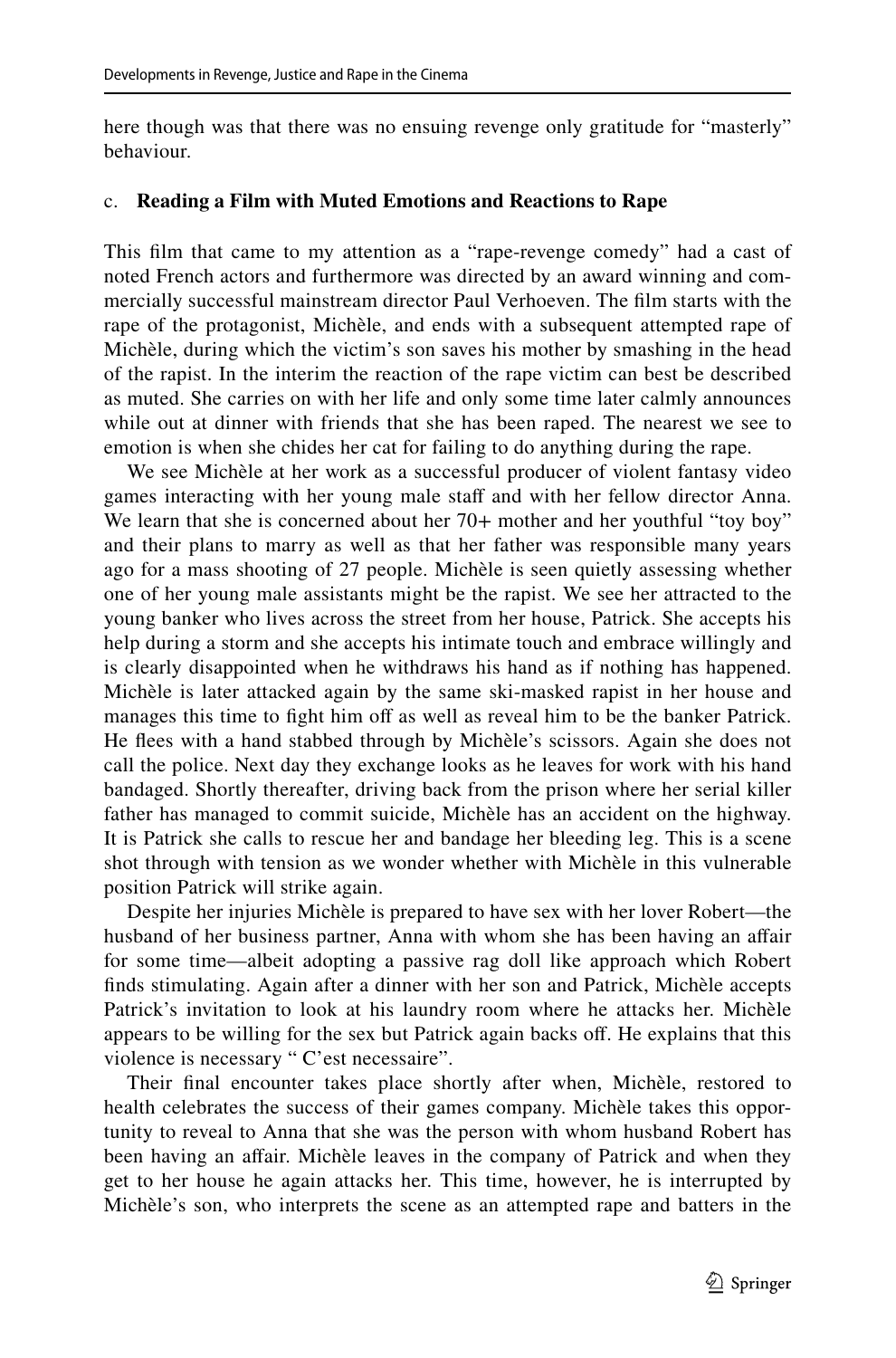here though was that there was no ensuing revenge only gratitude for "masterly" behaviour.

#### c. **Reading a Film with Muted Emotions and Reactions to Rape**

This flm that came to my attention as a "rape-revenge comedy" had a cast of noted French actors and furthermore was directed by an award winning and commercially successful mainstream director Paul Verhoeven. The flm starts with the rape of the protagonist, Michèle, and ends with a subsequent attempted rape of Michèle, during which the victim's son saves his mother by smashing in the head of the rapist. In the interim the reaction of the rape victim can best be described as muted. She carries on with her life and only some time later calmly announces while out at dinner with friends that she has been raped. The nearest we see to emotion is when she chides her cat for failing to do anything during the rape.

We see Michèle at her work as a successful producer of violent fantasy video games interacting with her young male staff and with her fellow director Anna. We learn that she is concerned about her 70+ mother and her youthful "toy boy" and their plans to marry as well as that her father was responsible many years ago for a mass shooting of 27 people. Michèle is seen quietly assessing whether one of her young male assistants might be the rapist. We see her attracted to the young banker who lives across the street from her house, Patrick. She accepts his help during a storm and she accepts his intimate touch and embrace willingly and is clearly disappointed when he withdraws his hand as if nothing has happened. Michèle is later attacked again by the same ski-masked rapist in her house and manages this time to fight him off as well as reveal him to be the banker Patrick. He flees with a hand stabbed through by Michèle's scissors. Again she does not call the police. Next day they exchange looks as he leaves for work with his hand bandaged. Shortly thereafter, driving back from the prison where her serial killer father has managed to commit suicide, Michèle has an accident on the highway. It is Patrick she calls to rescue her and bandage her bleeding leg. This is a scene shot through with tension as we wonder whether with Michèle in this vulnerable position Patrick will strike again.

Despite her injuries Michèle is prepared to have sex with her lover Robert—the husband of her business partner, Anna with whom she has been having an affair for some time—albeit adopting a passive rag doll like approach which Robert fnds stimulating. Again after a dinner with her son and Patrick, Michèle accepts Patrick's invitation to look at his laundry room where he attacks her. Michèle appears to be willing for the sex but Patrick again backs of. He explains that this violence is necessary " C'est necessaire".

Their fnal encounter takes place shortly after when, Michèle, restored to health celebrates the success of their games company. Michèle takes this opportunity to reveal to Anna that she was the person with whom husband Robert has been having an affair. Michèle leaves in the company of Patrick and when they get to her house he again attacks her. This time, however, he is interrupted by Michèle's son, who interprets the scene as an attempted rape and batters in the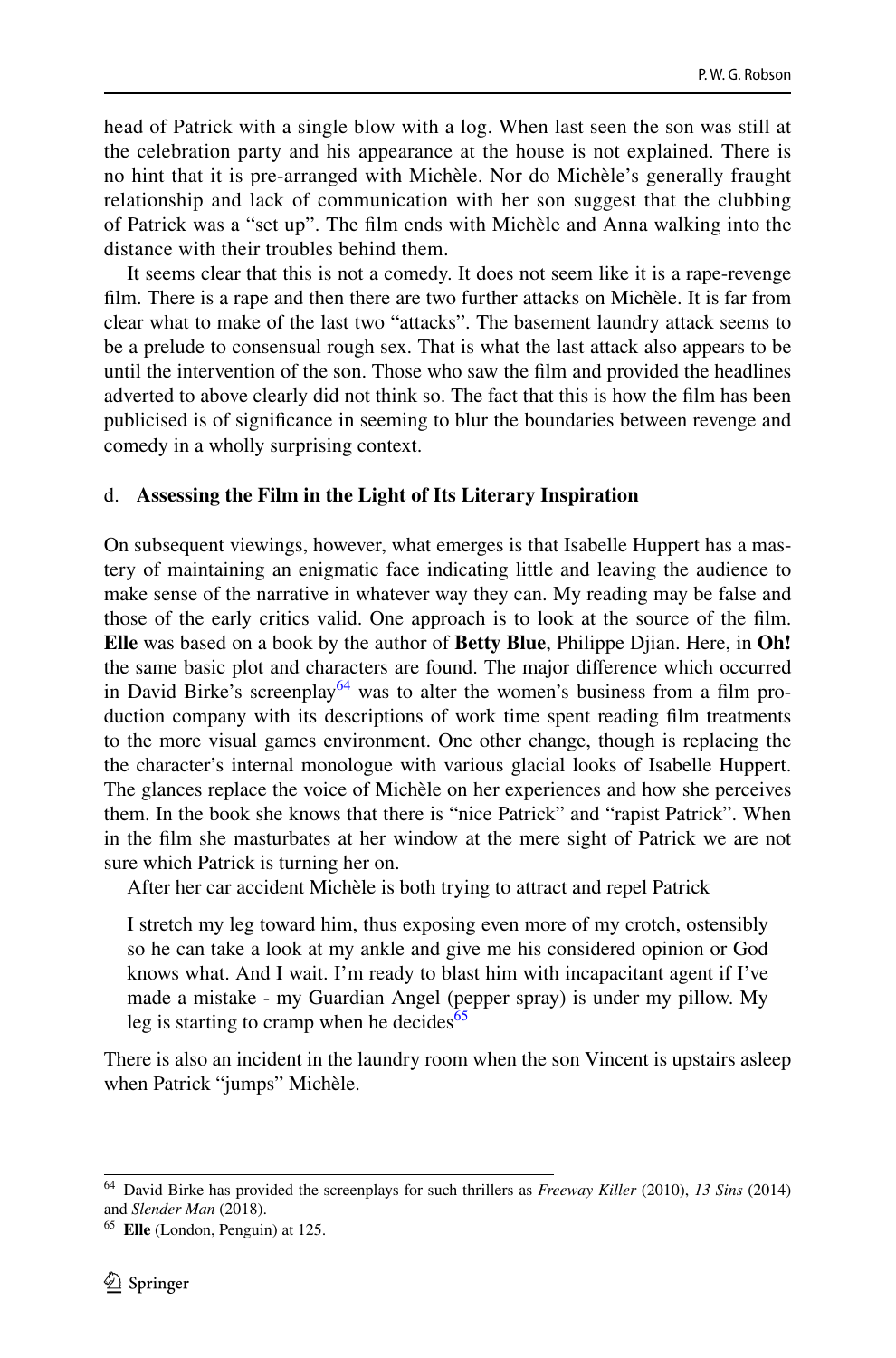head of Patrick with a single blow with a log. When last seen the son was still at the celebration party and his appearance at the house is not explained. There is no hint that it is pre-arranged with Michèle. Nor do Michèle's generally fraught relationship and lack of communication with her son suggest that the clubbing of Patrick was a "set up". The flm ends with Michèle and Anna walking into the distance with their troubles behind them.

It seems clear that this is not a comedy. It does not seem like it is a rape-revenge flm. There is a rape and then there are two further attacks on Michèle. It is far from clear what to make of the last two "attacks". The basement laundry attack seems to be a prelude to consensual rough sex. That is what the last attack also appears to be until the intervention of the son. Those who saw the flm and provided the headlines adverted to above clearly did not think so. The fact that this is how the flm has been publicised is of signifcance in seeming to blur the boundaries between revenge and comedy in a wholly surprising context.

#### d. **Assessing the Film in the Light of Its Literary Inspiration**

On subsequent viewings, however, what emerges is that Isabelle Huppert has a mastery of maintaining an enigmatic face indicating little and leaving the audience to make sense of the narrative in whatever way they can. My reading may be false and those of the early critics valid. One approach is to look at the source of the flm. **Elle** was based on a book by the author of **Betty Blue**, Philippe Djian. Here, in **Oh!** the same basic plot and characters are found. The major diference which occurred in David Birke's screenplay<sup>[64](#page-15-0)</sup> was to alter the women's business from a film production company with its descriptions of work time spent reading flm treatments to the more visual games environment. One other change, though is replacing the the character's internal monologue with various glacial looks of Isabelle Huppert. The glances replace the voice of Michèle on her experiences and how she perceives them. In the book she knows that there is "nice Patrick" and "rapist Patrick". When in the flm she masturbates at her window at the mere sight of Patrick we are not sure which Patrick is turning her on.

After her car accident Michèle is both trying to attract and repel Patrick

I stretch my leg toward him, thus exposing even more of my crotch, ostensibly so he can take a look at my ankle and give me his considered opinion or God knows what. And I wait. I'm ready to blast him with incapacitant agent if I've made a mistake - my Guardian Angel (pepper spray) is under my pillow. My leg is starting to cramp when he decides<sup>[65](#page-15-1)</sup>

There is also an incident in the laundry room when the son Vincent is upstairs asleep when Patrick "jumps" Michèle.

<span id="page-15-0"></span><sup>64</sup> David Birke has provided the screenplays for such thrillers as *Freeway Killer* (2010), *13 Sins* (2014) and *Slender Man* (2018).

<span id="page-15-1"></span><sup>65</sup> **Elle** (London, Penguin) at 125.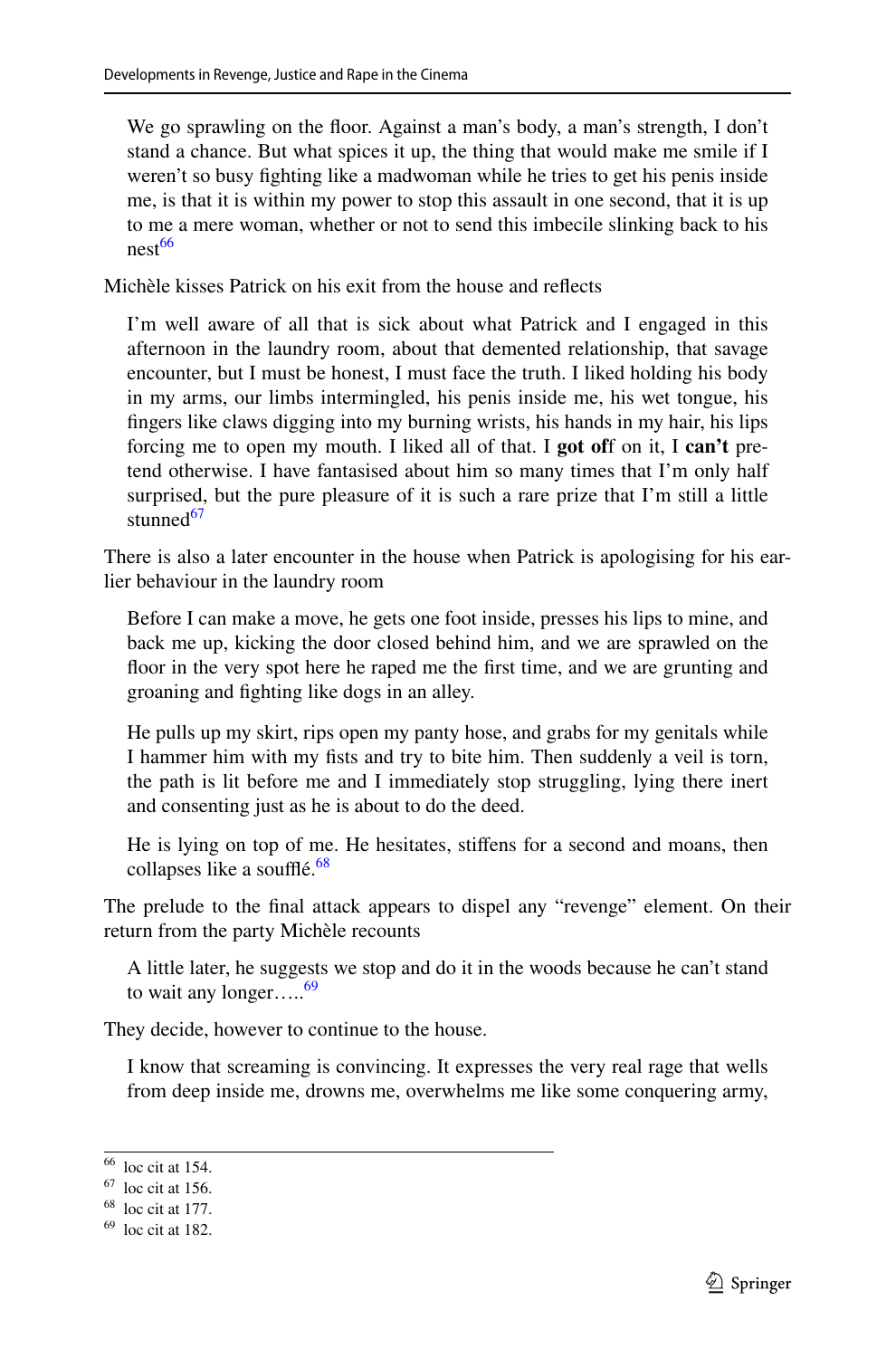We go sprawling on the floor. Against a man's body, a man's strength, I don't stand a chance. But what spices it up, the thing that would make me smile if I weren't so busy fghting like a madwoman while he tries to get his penis inside me, is that it is within my power to stop this assault in one second, that it is up to me a mere woman, whether or not to send this imbecile slinking back to his nest<sup>66</sup>

Michèle kisses Patrick on his exit from the house and refects

I'm well aware of all that is sick about what Patrick and I engaged in this afternoon in the laundry room, about that demented relationship, that savage encounter, but I must be honest, I must face the truth. I liked holding his body in my arms, our limbs intermingled, his penis inside me, his wet tongue, his fngers like claws digging into my burning wrists, his hands in my hair, his lips forcing me to open my mouth. I liked all of that. I **got of**f on it, I **can't** pretend otherwise. I have fantasised about him so many times that I'm only half surprised, but the pure pleasure of it is such a rare prize that I'm still a little stunned<sup>67</sup>

There is also a later encounter in the house when Patrick is apologising for his earlier behaviour in the laundry room

Before I can make a move, he gets one foot inside, presses his lips to mine, and back me up, kicking the door closed behind him, and we are sprawled on the foor in the very spot here he raped me the frst time, and we are grunting and groaning and fghting like dogs in an alley.

He pulls up my skirt, rips open my panty hose, and grabs for my genitals while I hammer him with my fsts and try to bite him. Then suddenly a veil is torn, the path is lit before me and I immediately stop struggling, lying there inert and consenting just as he is about to do the deed.

He is lying on top of me. He hesitates, stifens for a second and moans, then collapses like a soufflé. $68$ 

The prelude to the fnal attack appears to dispel any "revenge" element. On their return from the party Michèle recounts

A little later, he suggests we stop and do it in the woods because he can't stand to wait any longer…..<sup>69</sup>

They decide, however to continue to the house.

I know that screaming is convincing. It expresses the very real rage that wells from deep inside me, drowns me, overwhelms me like some conquering army,

<span id="page-16-0"></span><sup>66</sup> loc cit at 154.

<span id="page-16-1"></span> $67$  loc cit at 156.

<span id="page-16-2"></span> $68$  loc cit at 177.

<span id="page-16-3"></span> $69$  loc cit at 182.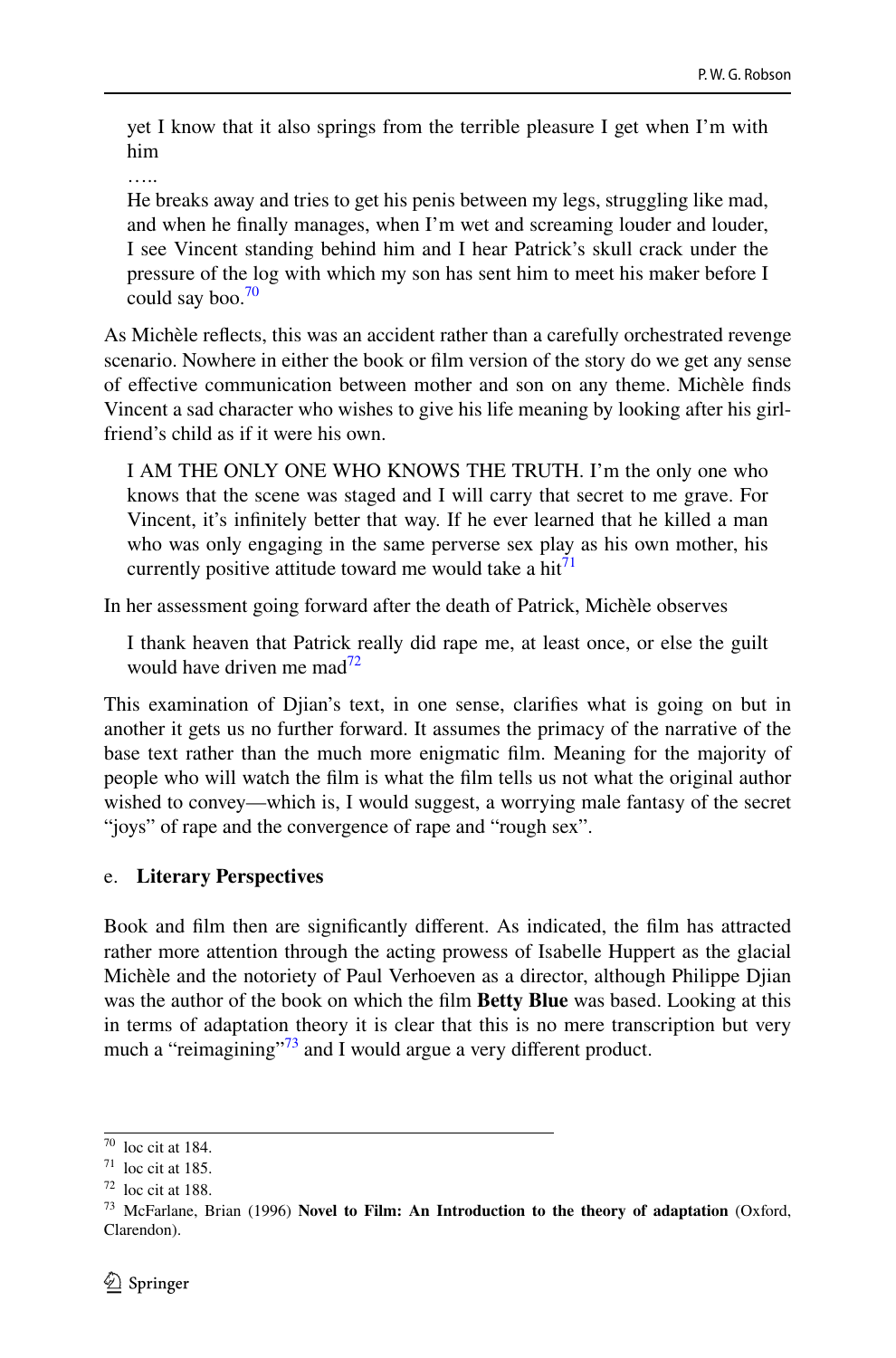yet I know that it also springs from the terrible pleasure I get when I'm with him

….<br>……

He breaks away and tries to get his penis between my legs, struggling like mad, and when he fnally manages, when I'm wet and screaming louder and louder, I see Vincent standing behind him and I hear Patrick's skull crack under the pressure of the log with which my son has sent him to meet his maker before I could say boo. $\frac{70}{2}$ 

As Michèle refects, this was an accident rather than a carefully orchestrated revenge scenario. Nowhere in either the book or flm version of the story do we get any sense of efective communication between mother and son on any theme. Michèle fnds Vincent a sad character who wishes to give his life meaning by looking after his girlfriend's child as if it were his own.

I AM THE ONLY ONE WHO KNOWS THE TRUTH. I'm the only one who knows that the scene was staged and I will carry that secret to me grave. For Vincent, it's infnitely better that way. If he ever learned that he killed a man who was only engaging in the same perverse sex play as his own mother, his currently positive attitude toward me would take a hit<sup>[71](#page-17-1)</sup>

In her assessment going forward after the death of Patrick, Michèle observes

I thank heaven that Patrick really did rape me, at least once, or else the guilt would have driven me mad $^{72}$ 

This examination of Djian's text, in one sense, clarifes what is going on but in another it gets us no further forward. It assumes the primacy of the narrative of the base text rather than the much more enigmatic flm. Meaning for the majority of people who will watch the flm is what the flm tells us not what the original author wished to convey—which is, I would suggest, a worrying male fantasy of the secret "joys" of rape and the convergence of rape and "rough sex".

### e. **Literary Perspectives**

Book and flm then are signifcantly diferent. As indicated, the flm has attracted rather more attention through the acting prowess of Isabelle Huppert as the glacial Michèle and the notoriety of Paul Verhoeven as a director, although Philippe Djian was the author of the book on which the flm **Betty Blue** was based. Looking at this in terms of adaptation theory it is clear that this is no mere transcription but very much a "reimagining"<sup>73</sup> and I would argue a very different product.

<span id="page-17-0"></span> $70$  loc cit at 184.

<span id="page-17-1"></span> $71$  loc cit at 185.

<span id="page-17-2"></span> $72$  loc cit at 188.

<span id="page-17-3"></span><sup>73</sup> McFarlane, Brian (1996) **Novel to Film: An Introduction to the theory of adaptation** (Oxford, Clarendon).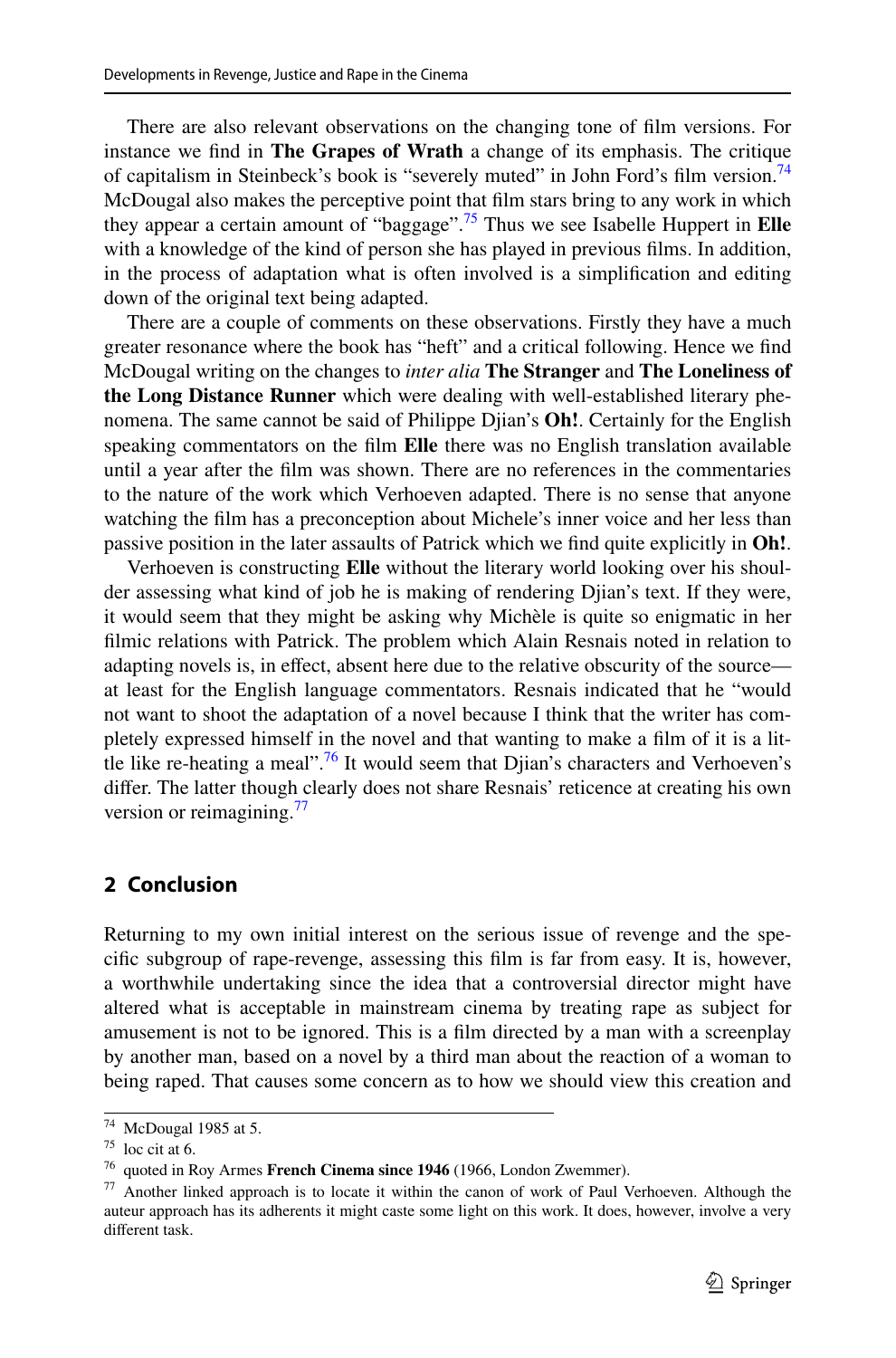There are also relevant observations on the changing tone of flm versions. For instance we fnd in **The Grapes of Wrath** a change of its emphasis. The critique of capitalism in Steinbeck's book is "severely muted" in John Ford's film version.<sup>74</sup> McDougal also makes the perceptive point that flm stars bring to any work in which they appear a certain amount of "baggage".[75](#page-18-1) Thus we see Isabelle Huppert in **Elle** with a knowledge of the kind of person she has played in previous films. In addition, in the process of adaptation what is often involved is a simplifcation and editing down of the original text being adapted.

There are a couple of comments on these observations. Firstly they have a much greater resonance where the book has "heft" and a critical following. Hence we fnd McDougal writing on the changes to *inter alia* **The Stranger** and **The Loneliness of the Long Distance Runner** which were dealing with well-established literary phenomena. The same cannot be said of Philippe Djian's **Oh!**. Certainly for the English speaking commentators on the flm **Elle** there was no English translation available until a year after the flm was shown. There are no references in the commentaries to the nature of the work which Verhoeven adapted. There is no sense that anyone watching the flm has a preconception about Michele's inner voice and her less than passive position in the later assaults of Patrick which we fnd quite explicitly in **Oh!**.

Verhoeven is constructing **Elle** without the literary world looking over his shoulder assessing what kind of job he is making of rendering Djian's text. If they were, it would seem that they might be asking why Michèle is quite so enigmatic in her flmic relations with Patrick. The problem which Alain Resnais noted in relation to adapting novels is, in efect, absent here due to the relative obscurity of the source at least for the English language commentators. Resnais indicated that he "would not want to shoot the adaptation of a novel because I think that the writer has completely expressed himself in the novel and that wanting to make a flm of it is a little like re-heating a meal".<sup>76</sup> It would seem that Djian's characters and Verhoeven's difer. The latter though clearly does not share Resnais' reticence at creating his own version or reimagining.<sup>[77](#page-18-3)</sup>

# **2 Conclusion**

Returning to my own initial interest on the serious issue of revenge and the specifc subgroup of rape-revenge, assessing this flm is far from easy. It is, however, a worthwhile undertaking since the idea that a controversial director might have altered what is acceptable in mainstream cinema by treating rape as subject for amusement is not to be ignored. This is a flm directed by a man with a screenplay by another man, based on a novel by a third man about the reaction of a woman to being raped. That causes some concern as to how we should view this creation and

<span id="page-18-0"></span><sup>74</sup> McDougal 1985 at 5.

<span id="page-18-1"></span> $75$  loc cit at 6.

<span id="page-18-2"></span><sup>76</sup> quoted in Roy Armes **French Cinema since 1946** (1966, London Zwemmer).

<span id="page-18-3"></span><sup>77</sup> Another linked approach is to locate it within the canon of work of Paul Verhoeven. Although the auteur approach has its adherents it might caste some light on this work. It does, however, involve a very diferent task.